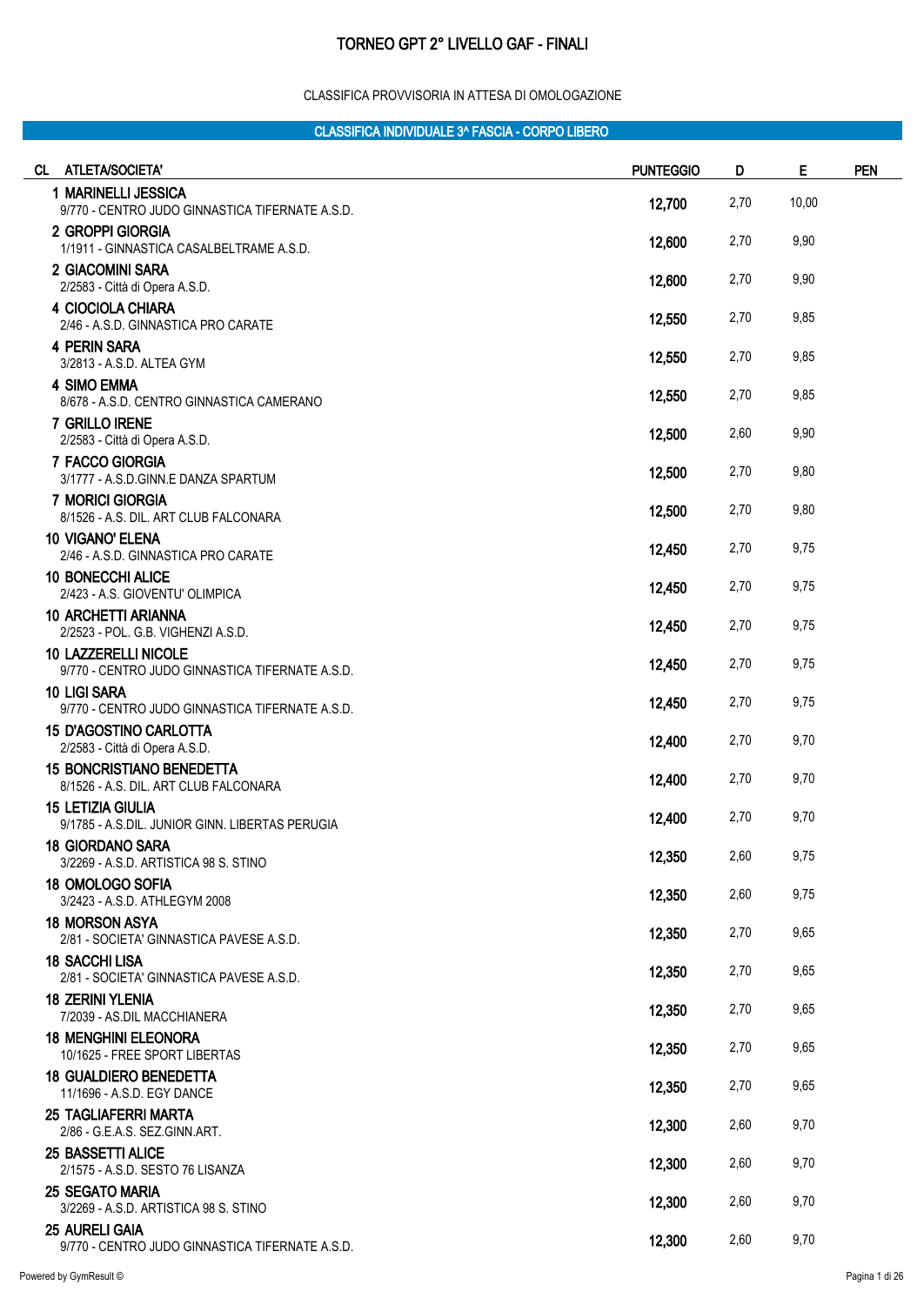#### CLASSIFICA PROVVISORIA IN ATTESA DI OMOLOGAZIONE

| CL.<br><b>ATLETA/SOCIETA'</b>                                                  | <b>PUNTEGGIO</b> | D    | E     | <b>PEN</b> |
|--------------------------------------------------------------------------------|------------------|------|-------|------------|
| 1 MARINELLI JESSICA<br>9/770 - CENTRO JUDO GINNASTICA TIFERNATE A.S.D.         | 12,700           | 2,70 | 10,00 |            |
| 2 GROPPI GIORGIA<br>1/1911 - GINNASTICA CASALBELTRAME A.S.D.                   | 12,600           | 2,70 | 9,90  |            |
| 2 GIACOMINI SARA<br>2/2583 - Città di Opera A.S.D.                             | 12,600           | 2,70 | 9,90  |            |
| 4 CIOCIOLA CHIARA<br>2/46 - A.S.D. GINNASTICA PRO CARATE                       | 12,550           | 2,70 | 9,85  |            |
| 4 PERIN SARA<br>3/2813 - A.S.D. ALTEA GYM                                      | 12,550           | 2,70 | 9,85  |            |
| <b>4 SIMO EMMA</b><br>8/678 - A.S.D. CENTRO GINNASTICA CAMERANO                | 12,550           | 2,70 | 9,85  |            |
| 7 GRILLO IRENE<br>2/2583 - Città di Opera A.S.D.                               | 12,500           | 2,60 | 9,90  |            |
| 7 FACCO GIORGIA<br>3/1777 - A.S.D.GINN.E DANZA SPARTUM                         | 12,500           | 2,70 | 9,80  |            |
| 7 MORICI GIORGIA<br>8/1526 - A.S. DIL. ART CLUB FALCONARA                      | 12,500           | 2,70 | 9,80  |            |
| <b>10 VIGANO' ELENA</b><br>2/46 - A.S.D. GINNASTICA PRO CARATE                 | 12,450           | 2,70 | 9,75  |            |
| <b>10 BONECCHI ALICE</b><br>2/423 - A.S. GIOVENTU' OLIMPICA                    | 12,450           | 2,70 | 9,75  |            |
| <b>10 ARCHETTI ARIANNA</b><br>2/2523 - POL. G.B. VIGHENZI A.S.D.               | 12,450           | 2,70 | 9,75  |            |
| <b>10 LAZZERELLI NICOLE</b><br>9/770 - CENTRO JUDO GINNASTICA TIFERNATE A.S.D. | 12,450           | 2,70 | 9,75  |            |
| <b>10 LIGI SARA</b><br>9/770 - CENTRO JUDO GINNASTICA TIFERNATE A.S.D.         | 12,450           | 2,70 | 9,75  |            |
| <b>15 D'AGOSTINO CARLOTTA</b><br>2/2583 - Città di Opera A.S.D.                | 12,400           | 2,70 | 9,70  |            |
| <b>15 BONCRISTIANO BENEDETTA</b><br>8/1526 - A.S. DIL. ART CLUB FALCONARA      | 12,400           | 2,70 | 9,70  |            |
| <b>15 LETIZIA GIULIA</b><br>9/1785 - A.S.DIL. JUNIOR GINN. LIBERTAS PERUGIA    | 12,400           | 2,70 | 9,70  |            |
| <b>18 GIORDANO SARA</b><br>3/2269 - A.S.D. ARTISTICA 98 S. STINO               | 12,350           | 2,60 | 9,75  |            |
| <b>18 OMOLOGO SOFIA</b><br>3/2423 - A.S.D. ATHLEGYM 2008                       | 12,350           | 2,60 | 9,75  |            |
| <b>18 MORSON ASYA</b><br>2/81 - SOCIETA' GINNASTICA PAVESE A.S.D.              | 12,350           | 2,70 | 9,65  |            |
| <b>18 SACCHI LISA</b><br>2/81 - SOCIETA' GINNASTICA PAVESE A.S.D.              | 12,350           | 2,70 | 9,65  |            |
| <b>18 ZERINI YLENIA</b><br>7/2039 - AS.DIL MACCHIANERA                         | 12,350           | 2,70 | 9,65  |            |
| <b>18 MENGHINI ELEONORA</b><br>10/1625 - FREE SPORT LIBERTAS                   | 12,350           | 2,70 | 9,65  |            |
| <b>18 GUALDIERO BENEDETTA</b><br>11/1696 - A.S.D. EGY DANCE                    | 12,350           | 2,70 | 9,65  |            |
| <b>25 TAGLIAFERRI MARTA</b><br>2/86 - G.E.A.S. SEZ.GINN.ART.                   | 12,300           | 2,60 | 9,70  |            |
| 25 BASSETTI ALICE<br>2/1575 - A.S.D. SESTO 76 LISANZA                          | 12,300           | 2,60 | 9,70  |            |
| <b>25 SEGATO MARIA</b><br>3/2269 - A.S.D. ARTISTICA 98 S. STINO                | 12,300           | 2,60 | 9,70  |            |
| <b>25 AURELI GAIA</b><br>9/770 - CENTRO JUDO GINNASTICA TIFERNATE A.S.D.       | 12,300           | 2,60 | 9,70  |            |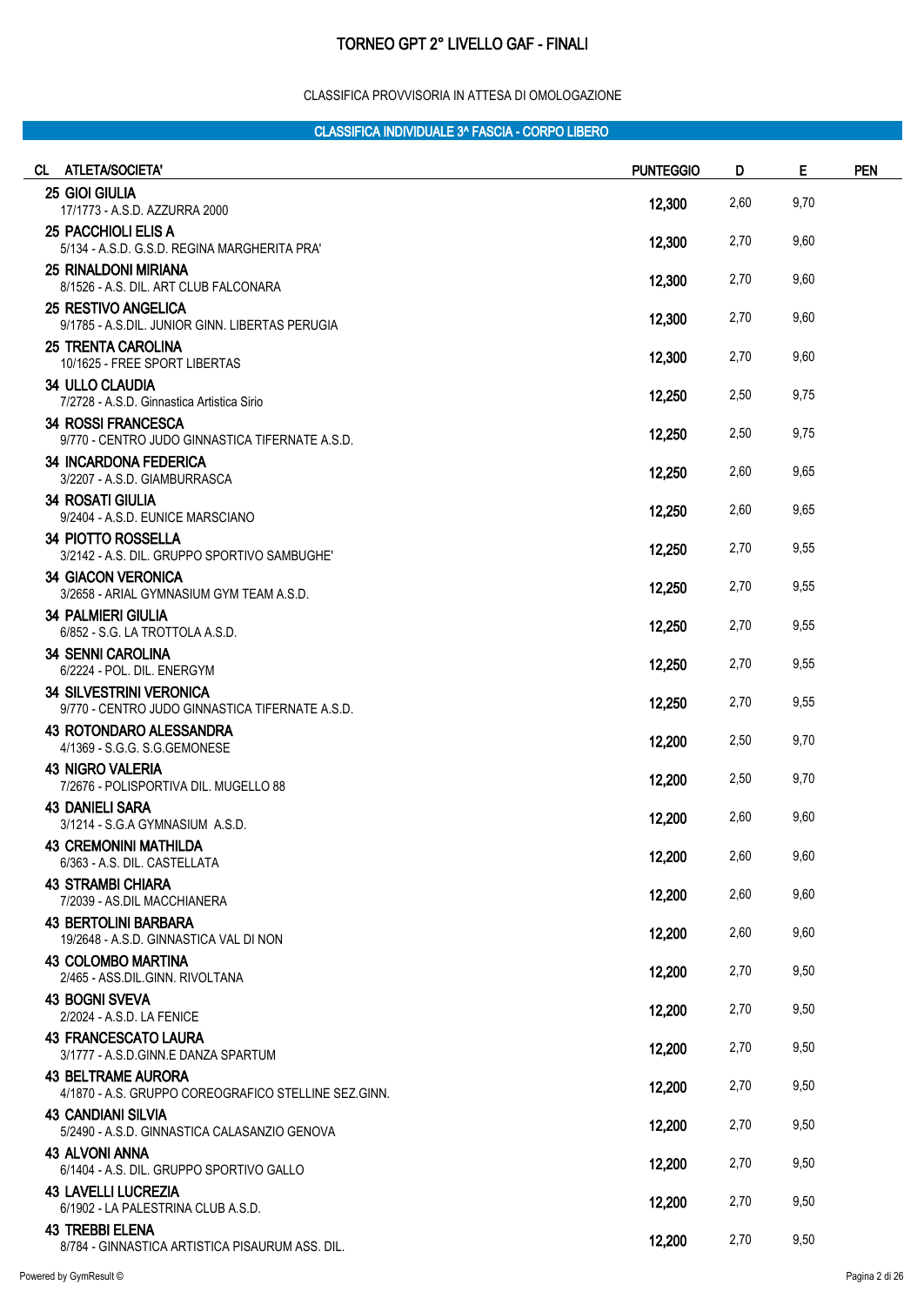#### CLASSIFICA PROVVISORIA IN ATTESA DI OMOLOGAZIONE

| CL ATLETA/SOCIETA'                                                                | <b>PUNTEGGIO</b> | D    | E    | <b>PEN</b> |
|-----------------------------------------------------------------------------------|------------------|------|------|------------|
| 25 GIOI GIULIA                                                                    | 12,300           | 2,60 | 9,70 |            |
| 17/1773 - A.S.D. AZZURRA 2000<br><b>25 PACCHIOLI ELIS A</b>                       |                  |      |      |            |
| 5/134 - A.S.D. G.S.D. REGINA MARGHERITA PRA'                                      | 12,300           | 2,70 | 9,60 |            |
| <b>25 RINALDONI MIRIANA</b><br>8/1526 - A.S. DIL. ART CLUB FALCONARA              | 12,300           | 2,70 | 9,60 |            |
| <b>25 RESTIVO ANGELICA</b><br>9/1785 - A.S.DIL. JUNIOR GINN. LIBERTAS PERUGIA     | 12,300           | 2,70 | 9,60 |            |
| <b>25 TRENTA CAROLINA</b><br>10/1625 - FREE SPORT LIBERTAS                        | 12,300           | 2,70 | 9,60 |            |
| <b>34 ULLO CLAUDIA</b><br>7/2728 - A.S.D. Ginnastica Artistica Sirio              | 12,250           | 2,50 | 9,75 |            |
| <b>34 ROSSI FRANCESCA</b><br>9/770 - CENTRO JUDO GINNASTICA TIFERNATE A.S.D.      | 12,250           | 2,50 | 9,75 |            |
| <b>34 INCARDONA FEDERICA</b><br>3/2207 - A.S.D. GIAMBURRASCA                      | 12,250           | 2,60 | 9,65 |            |
| <b>34 ROSATI GIULIA</b><br>9/2404 - A.S.D. EUNICE MARSCIANO                       | 12,250           | 2,60 | 9,65 |            |
| <b>34 PIOTTO ROSSELLA</b><br>3/2142 - A.S. DIL. GRUPPO SPORTIVO SAMBUGHE'         | 12,250           | 2,70 | 9,55 |            |
| <b>34 GIACON VERONICA</b><br>3/2658 - ARIAL GYMNASIUM GYM TEAM A.S.D.             | 12,250           | 2,70 | 9,55 |            |
| <b>34 PALMIERI GIULIA</b><br>6/852 - S.G. LA TROTTOLA A.S.D.                      | 12,250           | 2,70 | 9,55 |            |
| <b>34 SENNI CAROLINA</b><br>6/2224 - POL. DIL. ENERGYM                            | 12,250           | 2,70 | 9,55 |            |
| <b>34 SILVESTRINI VERONICA</b><br>9/770 - CENTRO JUDO GINNASTICA TIFERNATE A.S.D. | 12,250           | 2,70 | 9,55 |            |
| <b>43 ROTONDARO ALESSANDRA</b><br>4/1369 - S.G.G. S.G.GEMONESE                    | 12,200           | 2,50 | 9,70 |            |
| <b>43 NIGRO VALERIA</b><br>7/2676 - POLISPORTIVA DIL. MUGELLO 88                  | 12,200           | 2,50 | 9,70 |            |
| <b>43 DANIELI SARA</b><br>3/1214 - S.G.A GYMNASIUM A.S.D.                         | 12,200           | 2,60 | 9,60 |            |
| <b>43 CREMONINI MATHILDA</b><br>6/363 - A.S. DIL. CASTELLATA                      | 12,200           | 2,60 | 9,60 |            |
| <b>43 STRAMBI CHIARA</b><br>7/2039 - AS.DIL MACCHIANERA                           | 12,200           | 2,60 | 9,60 |            |
| <b>43 BERTOLINI BARBARA</b><br>19/2648 - A.S.D. GINNASTICA VAL DI NON             | 12,200           | 2,60 | 9,60 |            |
| 43 COLOMBO MARTINA<br>2/465 - ASS.DIL.GINN. RIVOLTANA                             | 12,200           | 2,70 | 9,50 |            |
| <b>43 BOGNI SVEVA</b><br>2/2024 - A.S.D. LA FENICE                                | 12,200           | 2,70 | 9,50 |            |
| <b>43 FRANCESCATO LAURA</b><br>3/1777 - A.S.D.GINN.E DANZA SPARTUM                | 12,200           | 2,70 | 9,50 |            |
| <b>43 BELTRAME AURORA</b><br>4/1870 - A.S. GRUPPO COREOGRAFICO STELLINE SEZ.GINN. | 12,200           | 2,70 | 9,50 |            |
| <b>43 CANDIANI SILVIA</b><br>5/2490 - A.S.D. GINNASTICA CALASANZIO GENOVA         | 12,200           | 2,70 | 9,50 |            |
| <b>43 ALVONI ANNA</b><br>6/1404 - A.S. DIL. GRUPPO SPORTIVO GALLO                 | 12,200           | 2,70 | 9,50 |            |
| <b>43 LAVELLI LUCREZIA</b><br>6/1902 - LA PALESTRINA CLUB A.S.D.                  | 12,200           | 2,70 | 9,50 |            |
| <b>43 TREBBI ELENA</b><br>8/784 - GINNASTICA ARTISTICA PISAURUM ASS. DIL.         | 12,200           | 2,70 | 9,50 |            |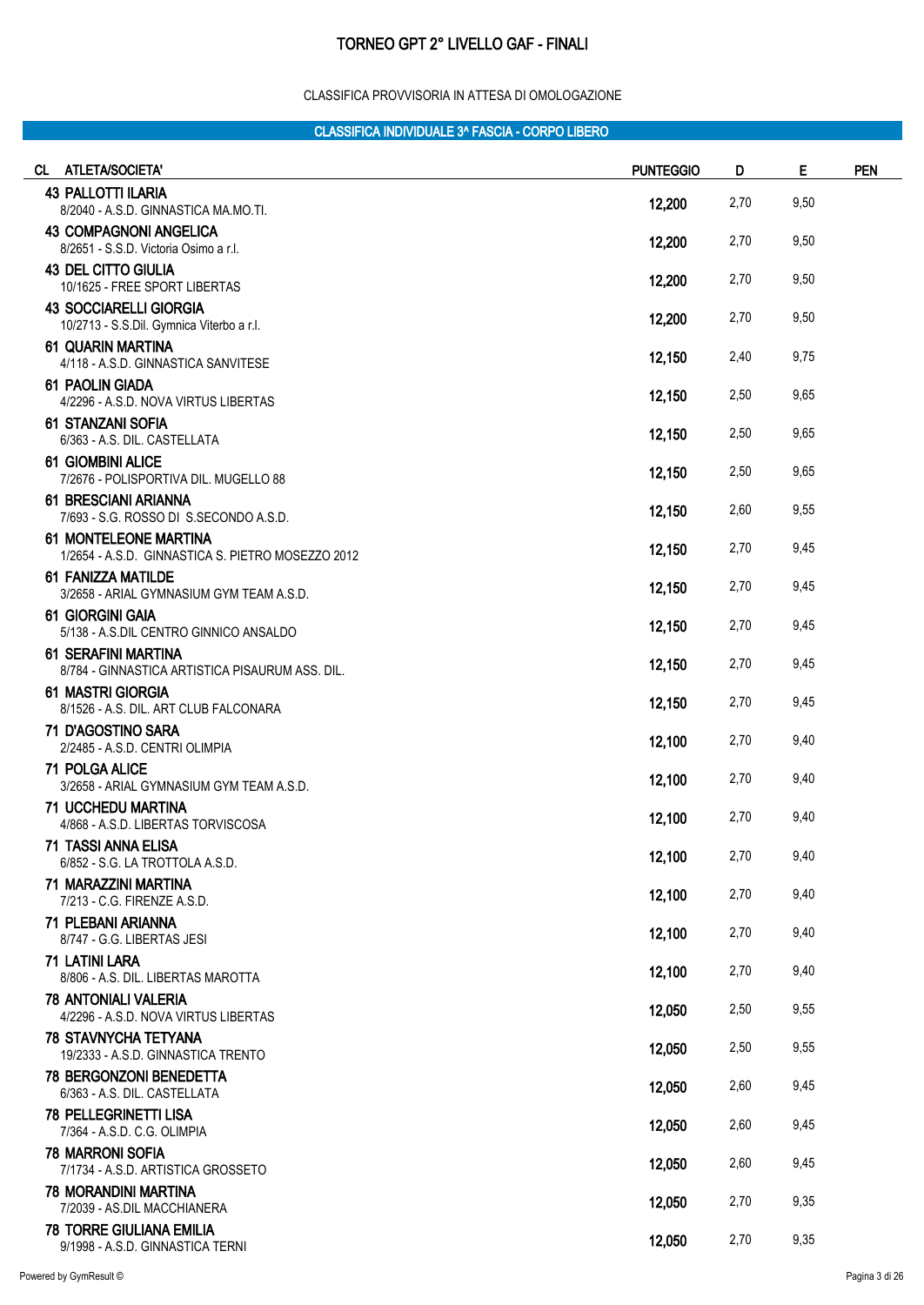#### CLASSIFICA PROVVISORIA IN ATTESA DI OMOLOGAZIONE

| CL ATLETA/SOCIETA'                                                                | <b>PUNTEGGIO</b> | D    | E    | <b>PEN</b> |
|-----------------------------------------------------------------------------------|------------------|------|------|------------|
| <b>43 PALLOTTI ILARIA</b><br>8/2040 - A.S.D. GINNASTICA MA.MO.TI.                 | 12,200           | 2,70 | 9,50 |            |
| <b>43 COMPAGNONI ANGELICA</b><br>8/2651 - S.S.D. Victoria Osimo a r.l.            | 12,200           | 2,70 | 9,50 |            |
| <b>43 DEL CITTO GIULIA</b><br>10/1625 - FREE SPORT LIBERTAS                       | 12,200           | 2,70 | 9,50 |            |
| <b>43 SOCCIARELLI GIORGIA</b><br>10/2713 - S.S.Dil. Gymnica Viterbo a r.l.        | 12,200           | 2,70 | 9,50 |            |
| <b>61 QUARIN MARTINA</b><br>4/118 - A.S.D. GINNASTICA SANVITESE                   | 12,150           | 2,40 | 9,75 |            |
| 61 PAOLIN GIADA<br>4/2296 - A.S.D. NOVA VIRTUS LIBERTAS                           | 12,150           | 2,50 | 9,65 |            |
| 61 STANZANI SOFIA<br>6/363 - A.S. DIL. CASTELLATA                                 | 12,150           | 2,50 | 9,65 |            |
| <b>61 GIOMBINI ALICE</b><br>7/2676 - POLISPORTIVA DIL. MUGELLO 88                 | 12,150           | 2,50 | 9,65 |            |
| <b>61 BRESCIANI ARIANNA</b><br>7/693 - S.G. ROSSO DI S.SECONDO A.S.D.             | 12,150           | 2,60 | 9,55 |            |
| <b>61 MONTELEONE MARTINA</b><br>1/2654 - A.S.D. GINNASTICA S. PIETRO MOSEZZO 2012 | 12,150           | 2,70 | 9,45 |            |
| 61 FANIZZA MATILDE<br>3/2658 - ARIAL GYMNASIUM GYM TEAM A.S.D.                    | 12,150           | 2,70 | 9,45 |            |
| 61 GIORGINI GAIA<br>5/138 - A.S.DIL CENTRO GINNICO ANSALDO                        | 12,150           | 2,70 | 9,45 |            |
| 61 SERAFINI MARTINA<br>8/784 - GINNASTICA ARTISTICA PISAURUM ASS. DIL.            | 12,150           | 2,70 | 9,45 |            |
| <b>61 MASTRI GIORGIA</b><br>8/1526 - A.S. DIL. ART CLUB FALCONARA                 | 12,150           | 2,70 | 9,45 |            |
| 71 D'AGOSTINO SARA<br>2/2485 - A.S.D. CENTRI OLIMPIA                              | 12,100           | 2,70 | 9,40 |            |
| <b>71 POLGA ALICE</b><br>3/2658 - ARIAL GYMNASIUM GYM TEAM A.S.D.                 | 12,100           | 2,70 | 9,40 |            |
| <b>71 UCCHEDU MARTINA</b><br>4/868 - A.S.D. LIBERTAS TORVISCOSA                   | 12,100           | 2,70 | 9,40 |            |
| 71 TASSI ANNA ELISA<br>6/852 - S.G. LA TROTTOLA A.S.D.                            | 12,100           | 2,70 | 9,40 |            |
| 71 MARAZZINI MARTINA<br>7/213 - C.G. FIRENZE A.S.D.                               | 12,100           | 2,70 | 9,40 |            |
| 71 PLEBANI ARIANNA<br>8/747 - G.G. LIBERTAS JESI                                  | 12,100           | 2,70 | 9,40 |            |
| 71 LATINI LARA<br>8/806 - A.S. DIL. LIBERTAS MAROTTA                              | 12,100           | 2,70 | 9,40 |            |
| <b>78 ANTONIALI VALERIA</b><br>4/2296 - A.S.D. NOVA VIRTUS LIBERTAS               | 12,050           | 2,50 | 9,55 |            |
| <b>78 STAVNYCHA TETYANA</b><br>19/2333 - A.S.D. GINNASTICA TRENTO                 | 12,050           | 2,50 | 9,55 |            |
| <b>78 BERGONZONI BENEDETTA</b><br>6/363 - A.S. DIL. CASTELLATA                    | 12,050           | 2,60 | 9,45 |            |
| <b>78 PELLEGRINETTI LISA</b><br>7/364 - A.S.D. C.G. OLIMPIA                       | 12,050           | 2,60 | 9,45 |            |
| <b>78 MARRONI SOFIA</b><br>7/1734 - A.S.D. ARTISTICA GROSSETO                     | 12,050           | 2,60 | 9,45 |            |
| <b>78 MORANDINI MARTINA</b><br>7/2039 - AS.DIL MACCHIANERA                        | 12,050           | 2,70 | 9,35 |            |
| <b>78 TORRE GIULIANA EMILIA</b><br>9/1998 - A.S.D. GINNASTICA TERNI               | 12,050           | 2,70 | 9,35 |            |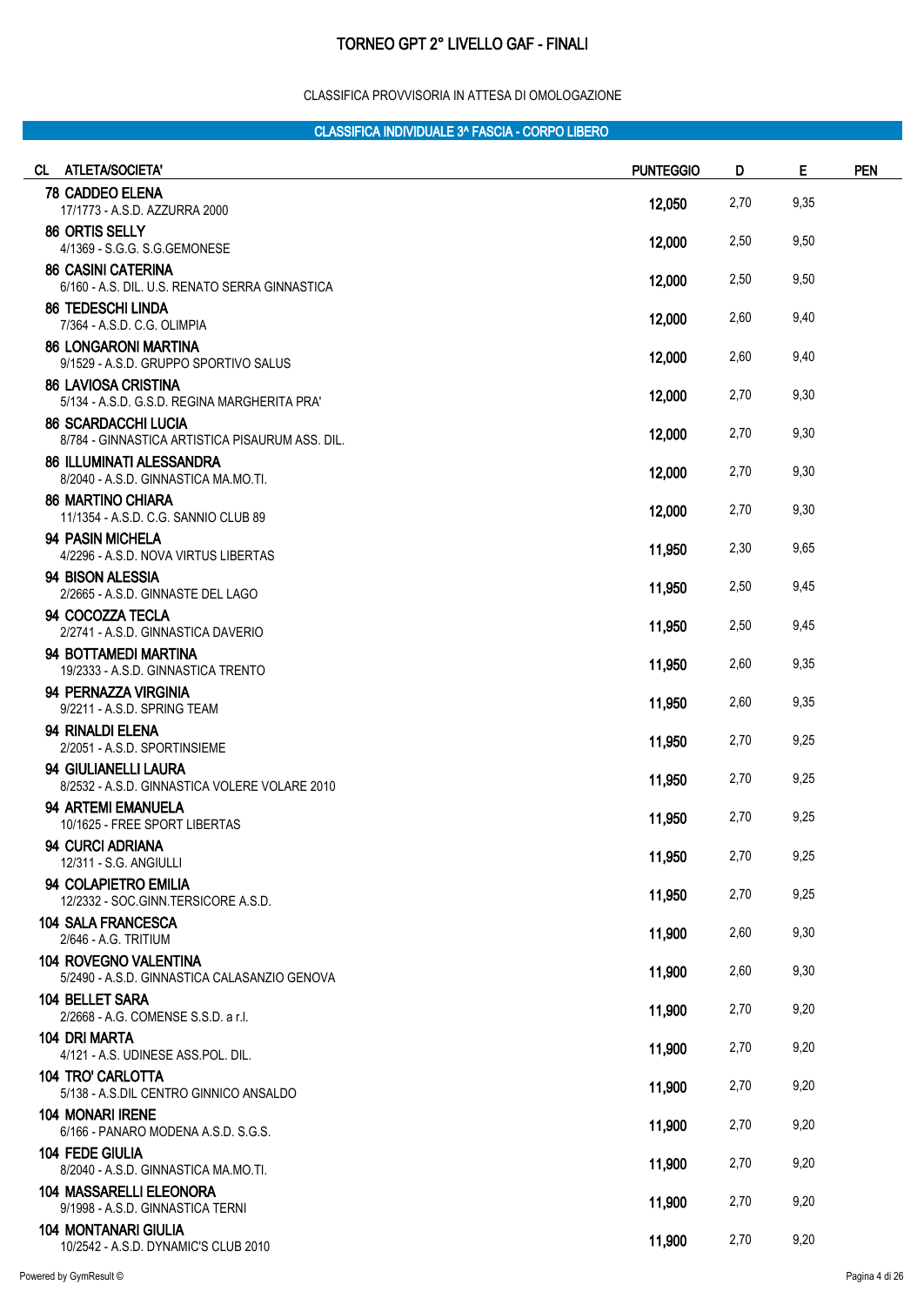#### CLASSIFICA PROVVISORIA IN ATTESA DI OMOLOGAZIONE

| CL ATLETA/SOCIETA'                                                            | <b>PUNTEGGIO</b> | D    | Е    | <b>PEN</b> |
|-------------------------------------------------------------------------------|------------------|------|------|------------|
| <b>78 CADDEO ELENA</b><br>17/1773 - A.S.D. AZZURRA 2000                       | 12,050           | 2,70 | 9,35 |            |
| 86 ORTIS SELLY                                                                |                  | 2,50 | 9,50 |            |
| 4/1369 - S.G.G. S.G.GEMONESE<br><b>86 CASINI CATERINA</b>                     | 12,000           |      |      |            |
| 6/160 - A.S. DIL. U.S. RENATO SERRA GINNASTICA                                | 12,000           | 2,50 | 9,50 |            |
| <b>86 TEDESCHI LINDA</b><br>7/364 - A.S.D. C.G. OLIMPIA                       | 12,000           | 2,60 | 9,40 |            |
| <b>86 LONGARONI MARTINA</b><br>9/1529 - A.S.D. GRUPPO SPORTIVO SALUS          | 12,000           | 2,60 | 9,40 |            |
| <b>86 LAVIOSA CRISTINA</b><br>5/134 - A.S.D. G.S.D. REGINA MARGHERITA PRA'    | 12,000           | 2,70 | 9,30 |            |
| <b>86 SCARDACCHI LUCIA</b><br>8/784 - GINNASTICA ARTISTICA PISAURUM ASS. DIL. | 12,000           | 2,70 | 9,30 |            |
| <b>86 ILLUMINATI ALESSANDRA</b><br>8/2040 - A.S.D. GINNASTICA MA.MO.TI.       | 12,000           | 2,70 | 9,30 |            |
| <b>86 MARTINO CHIARA</b><br>11/1354 - A.S.D. C.G. SANNIO CLUB 89              | 12,000           | 2,70 | 9,30 |            |
| 94 PASIN MICHELA<br>4/2296 - A.S.D. NOVA VIRTUS LIBERTAS                      | 11,950           | 2,30 | 9,65 |            |
| 94 BISON ALESSIA<br>2/2665 - A.S.D. GINNASTE DEL LAGO                         | 11,950           | 2,50 | 9,45 |            |
| 94 COCOZZA TECLA<br>2/2741 - A.S.D. GINNASTICA DAVERIO                        | 11,950           | 2,50 | 9,45 |            |
| 94 BOTTAMEDI MARTINA<br>19/2333 - A.S.D. GINNASTICA TRENTO                    | 11,950           | 2,60 | 9,35 |            |
| 94 PERNAZZA VIRGINIA<br>9/2211 - A.S.D. SPRING TEAM                           | 11,950           | 2,60 | 9,35 |            |
| 94 RINALDI ELENA<br>2/2051 - A.S.D. SPORTINSIEME                              | 11,950           | 2,70 | 9,25 |            |
| 94 GIULIANELLI LAURA<br>8/2532 - A.S.D. GINNASTICA VOLERE VOLARE 2010         | 11,950           | 2,70 | 9,25 |            |
| <b>94 ARTEMI EMANUELA</b><br>10/1625 - FREE SPORT LIBERTAS                    | 11,950           | 2,70 | 9,25 |            |
| 94 CURCI ADRIANA<br>12/311 - S.G. ANGIULLI                                    | 11,950           | 2,70 | 9,25 |            |
| 94 COLAPIETRO EMILIA<br>12/2332 - SOC.GINN.TERSICORE A.S.D.                   | 11,950           | 2,70 | 9,25 |            |
| <b>104 SALA FRANCESCA</b><br>2/646 - A.G. TRITIUM                             | 11,900           | 2,60 | 9,30 |            |
| <b>104 ROVEGNO VALENTINA</b><br>5/2490 - A.S.D. GINNASTICA CALASANZIO GENOVA  | 11,900           | 2,60 | 9,30 |            |
| 104 BELLET SARA<br>2/2668 - A.G. COMENSE S.S.D. a r.l.                        | 11,900           | 2,70 | 9,20 |            |
| <b>104 DRI MARTA</b><br>4/121 - A.S. UDINESE ASS.POL. DIL.                    | 11,900           | 2,70 | 9,20 |            |
| <b>104 TRO' CARLOTTA</b><br>5/138 - A.S.DIL CENTRO GINNICO ANSALDO            | 11,900           | 2,70 | 9,20 |            |
| <b>104 MONARI IRENE</b><br>6/166 - PANARO MODENA A.S.D. S.G.S.                | 11,900           | 2,70 | 9,20 |            |
| <b>104 FEDE GIULIA</b><br>8/2040 - A.S.D. GINNASTICA MA.MO.TI.                | 11,900           | 2,70 | 9,20 |            |
| <b>104 MASSARELLI ELEONORA</b><br>9/1998 - A.S.D. GINNASTICA TERNI            | 11,900           | 2,70 | 9,20 |            |
| <b>104 MONTANARI GIULIA</b><br>10/2542 - A.S.D. DYNAMIC'S CLUB 2010           | 11,900           | 2,70 | 9,20 |            |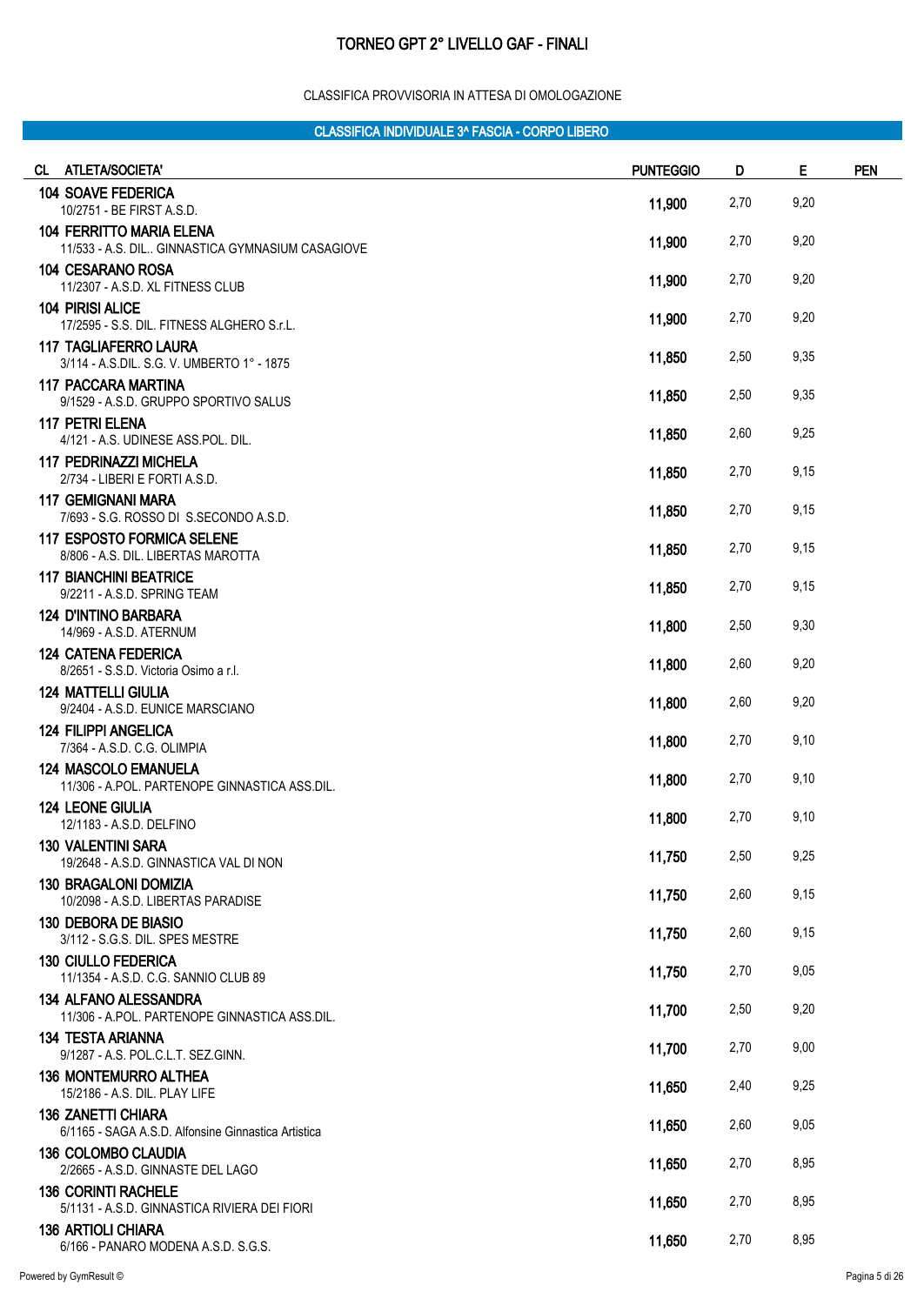#### CLASSIFICA PROVVISORIA IN ATTESA DI OMOLOGAZIONE

| CL ATLETA/SOCIETA'                                                                  | <b>PUNTEGGIO</b> | D    | Е    | <b>PEN</b> |
|-------------------------------------------------------------------------------------|------------------|------|------|------------|
| <b>104 SOAVE FEDERICA</b><br>10/2751 - BE FIRST A.S.D.                              | 11,900           | 2,70 | 9,20 |            |
| <b>104 FERRITTO MARIA ELENA</b><br>11/533 - A.S. DIL GINNASTICA GYMNASIUM CASAGIOVE | 11,900           | 2,70 | 9,20 |            |
| 104 CESARANO ROSA<br>11/2307 - A.S.D. XL FITNESS CLUB                               | 11,900           | 2,70 | 9,20 |            |
| <b>104 PIRISI ALICE</b><br>17/2595 - S.S. DIL. FITNESS ALGHERO S.r.L.               | 11,900           | 2,70 | 9,20 |            |
| <b>117 TAGLIAFERRO LAURA</b><br>3/114 - A.S.DIL. S.G. V. UMBERTO 1° - 1875          | 11,850           | 2,50 | 9,35 |            |
| <b>117 PACCARA MARTINA</b><br>9/1529 - A.S.D. GRUPPO SPORTIVO SALUS                 | 11,850           | 2,50 | 9,35 |            |
| <b>117 PETRI ELENA</b><br>4/121 - A.S. UDINESE ASS.POL. DIL.                        | 11,850           | 2,60 | 9,25 |            |
| <b>117 PEDRINAZZI MICHELA</b><br>2/734 - LIBERI E FORTI A.S.D.                      | 11,850           | 2,70 | 9,15 |            |
| <b>117 GEMIGNANI MARA</b><br>7/693 - S.G. ROSSO DI S.SECONDO A.S.D.                 | 11,850           | 2,70 | 9,15 |            |
| <b>117 ESPOSTO FORMICA SELENE</b><br>8/806 - A.S. DIL. LIBERTAS MAROTTA             | 11,850           | 2,70 | 9,15 |            |
| <b>117 BIANCHINI BEATRICE</b><br>9/2211 - A.S.D. SPRING TEAM                        | 11,850           | 2,70 | 9,15 |            |
| 124 D'INTINO BARBARA<br>14/969 - A.S.D. ATERNUM                                     | 11,800           | 2,50 | 9,30 |            |
| <b>124 CATENA FEDERICA</b><br>8/2651 - S.S.D. Victoria Osimo a r.l.                 | 11,800           | 2,60 | 9,20 |            |
| <b>124 MATTELLI GIULIA</b><br>9/2404 - A.S.D. EUNICE MARSCIANO                      | 11,800           | 2,60 | 9,20 |            |
| <b>124 FILIPPI ANGELICA</b><br>7/364 - A.S.D. C.G. OLIMPIA                          | 11,800           | 2,70 | 9,10 |            |
| <b>124 MASCOLO EMANUELA</b><br>11/306 - A.POL. PARTENOPE GINNASTICA ASS.DIL.        | 11,800           | 2,70 | 9,10 |            |
| <b>124 LEONE GIULIA</b><br>12/1183 - A.S.D. DELFINO                                 | 11,800           | 2,70 | 9,10 |            |
| <b>130 VALENTINI SARA</b><br>19/2648 - A.S.D. GINNASTICA VAL DI NON                 | 11,750           | 2,50 | 9,25 |            |
| <b>130 BRAGALONI DOMIZIA</b><br>10/2098 - A.S.D. LIBERTAS PARADISE                  | 11,750           | 2,60 | 9,15 |            |
| <b>130 DEBORA DE BIASIO</b><br>3/112 - S.G.S. DIL. SPES MESTRE                      | 11,750           | 2,60 | 9,15 |            |
| <b>130 CIULLO FEDERICA</b><br>11/1354 - A.S.D. C.G. SANNIO CLUB 89                  | 11,750           | 2,70 | 9,05 |            |
| <b>134 ALFANO ALESSANDRA</b><br>11/306 - A.POL. PARTENOPE GINNASTICA ASS.DIL.       | 11,700           | 2,50 | 9,20 |            |
| <b>134 TESTA ARIANNA</b><br>9/1287 - A.S. POL.C.L.T. SEZ.GINN.                      | 11,700           | 2,70 | 9,00 |            |
| <b>136 MONTEMURRO ALTHEA</b><br>15/2186 - A.S. DIL. PLAY LIFE                       | 11,650           | 2,40 | 9,25 |            |
| <b>136 ZANETTI CHIARA</b><br>6/1165 - SAGA A.S.D. Alfonsine Ginnastica Artistica    | 11,650           | 2,60 | 9,05 |            |
| <b>136 COLOMBO CLAUDIA</b><br>2/2665 - A.S.D. GINNASTE DEL LAGO                     | 11,650           | 2,70 | 8,95 |            |
| <b>136 CORINTI RACHELE</b><br>5/1131 - A.S.D. GINNASTICA RIVIERA DEI FIORI          | 11,650           | 2,70 | 8,95 |            |
| <b>136 ARTIOLI CHIARA</b><br>6/166 - PANARO MODENA A.S.D. S.G.S.                    | 11,650           | 2,70 | 8,95 |            |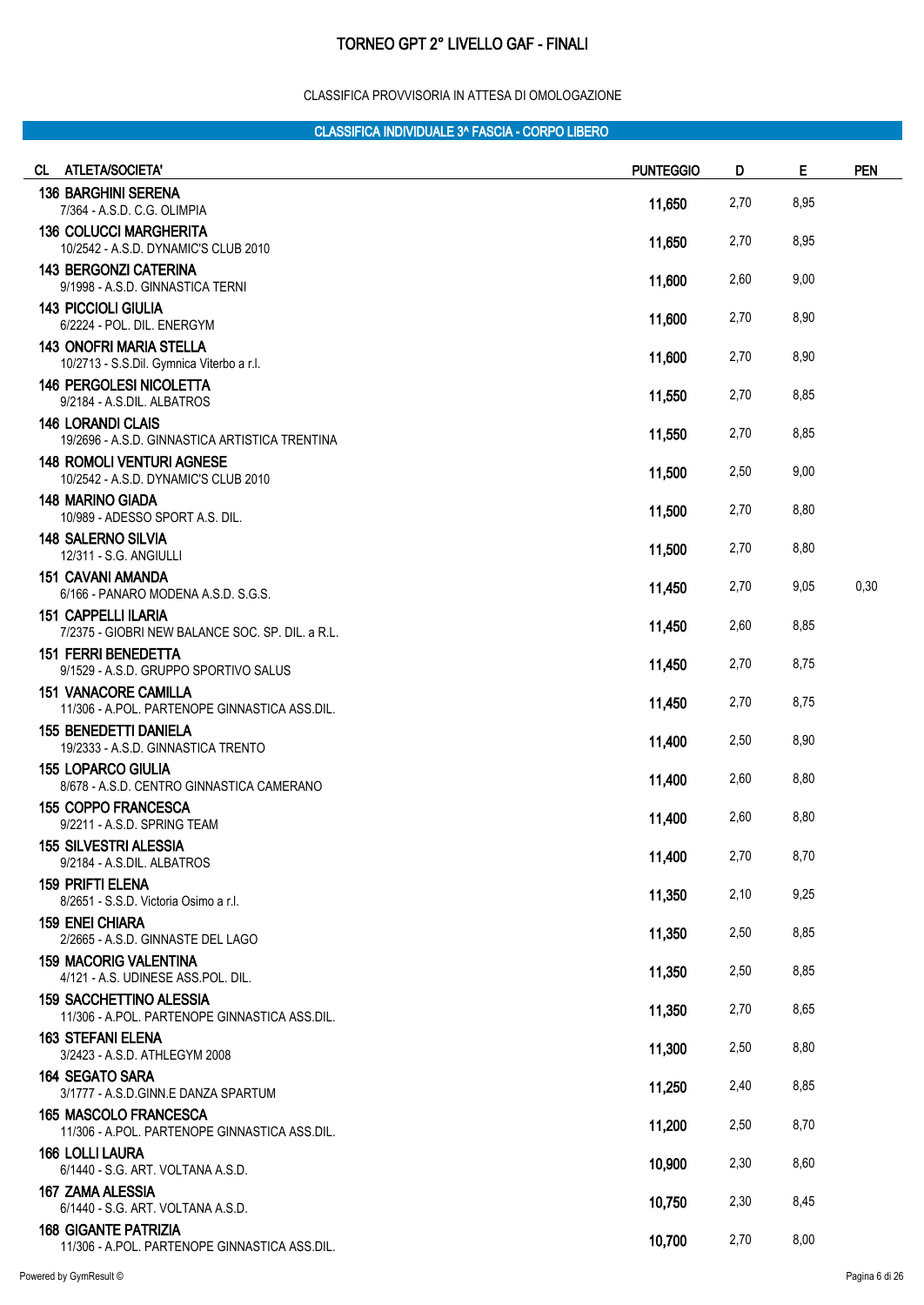#### CLASSIFICA PROVVISORIA IN ATTESA DI OMOLOGAZIONE

| CL. | ATLETA/SOCIETA'                                                                 | <b>PUNTEGGIO</b> | D    | E    | <b>PEN</b> |
|-----|---------------------------------------------------------------------------------|------------------|------|------|------------|
|     | <b>136 BARGHINI SERENA</b><br>7/364 - A.S.D. C.G. OLIMPIA                       | 11,650           | 2,70 | 8,95 |            |
|     | <b>136 COLUCCI MARGHERITA</b><br>10/2542 - A.S.D. DYNAMIC'S CLUB 2010           | 11,650           | 2,70 | 8,95 |            |
|     | <b>143 BERGONZI CATERINA</b><br>9/1998 - A.S.D. GINNASTICA TERNI                | 11,600           | 2,60 | 9,00 |            |
|     | <b>143 PICCIOLI GIULIA</b><br>6/2224 - POL. DIL. ENERGYM                        | 11,600           | 2,70 | 8,90 |            |
|     | <b>143 ONOFRI MARIA STELLA</b><br>10/2713 - S.S.Dil. Gymnica Viterbo a r.l.     | 11,600           | 2,70 | 8,90 |            |
|     | <b>146 PERGOLESI NICOLETTA</b><br>9/2184 - A.S.DIL. ALBATROS                    | 11,550           | 2,70 | 8,85 |            |
|     | <b>146 LORANDI CLAIS</b><br>19/2696 - A.S.D. GINNASTICA ARTISTICA TRENTINA      | 11,550           | 2,70 | 8,85 |            |
|     | <b>148 ROMOLI VENTURI AGNESE</b><br>10/2542 - A.S.D. DYNAMIC'S CLUB 2010        | 11,500           | 2,50 | 9,00 |            |
|     | <b>148 MARINO GIADA</b><br>10/989 - ADESSO SPORT A.S. DIL.                      | 11,500           | 2,70 | 8,80 |            |
|     | <b>148 SALERNO SILVIA</b><br>12/311 - S.G. ANGIULLI                             | 11,500           | 2,70 | 8,80 |            |
|     | <b>151 CAVANI AMANDA</b><br>6/166 - PANARO MODENA A.S.D. S.G.S.                 | 11,450           | 2,70 | 9,05 | 0,30       |
|     | <b>151 CAPPELLI ILARIA</b><br>7/2375 - GIOBRI NEW BALANCE SOC. SP. DIL. a R.L.  | 11,450           | 2,60 | 8,85 |            |
|     | <b>151 FERRI BENEDETTA</b><br>9/1529 - A.S.D. GRUPPO SPORTIVO SALUS             | 11,450           | 2,70 | 8,75 |            |
|     | <b>151 VANACORE CAMILLA</b><br>11/306 - A.POL. PARTENOPE GINNASTICA ASS.DIL.    | 11,450           | 2,70 | 8,75 |            |
|     | <b>155 BENEDETTI DANIELA</b><br>19/2333 - A.S.D. GINNASTICA TRENTO              | 11,400           | 2,50 | 8,90 |            |
|     | <b>155 LOPARCO GIULIA</b><br>8/678 - A.S.D. CENTRO GINNASTICA CAMERANO          | 11,400           | 2,60 | 8,80 |            |
|     | <b>155 COPPO FRANCESCA</b><br>9/2211 - A.S.D. SPRING TEAM                       | 11,400           | 2,60 | 8,80 |            |
|     | <b>155 SILVESTRI ALESSIA</b><br>9/2184 - A.S.DIL. ALBATROS                      | 11,400           | 2,70 | 8,70 |            |
|     | <b>159 PRIFTI ELENA</b><br>8/2651 - S.S.D. Victoria Osimo a r.l.                | 11,350           | 2,10 | 9,25 |            |
|     | <b>159 ENEI CHIARA</b><br>2/2665 - A.S.D. GINNASTE DEL LAGO                     | 11,350           | 2,50 | 8,85 |            |
|     | <b>159 MACORIG VALENTINA</b><br>4/121 - A.S. UDINESE ASS.POL. DIL.              | 11,350           | 2,50 | 8,85 |            |
|     | <b>159 SACCHETTINO ALESSIA</b><br>11/306 - A.POL. PARTENOPE GINNASTICA ASS.DIL. | 11,350           | 2,70 | 8,65 |            |
|     | <b>163 STEFANI ELENA</b><br>3/2423 - A.S.D. ATHLEGYM 2008                       | 11,300           | 2,50 | 8,80 |            |
|     | <b>164 SEGATO SARA</b><br>3/1777 - A.S.D.GINN.E DANZA SPARTUM                   | 11,250           | 2,40 | 8,85 |            |
|     | <b>165 MASCOLO FRANCESCA</b><br>11/306 - A.POL. PARTENOPE GINNASTICA ASS.DIL.   | 11,200           | 2,50 | 8,70 |            |
|     | <b>166 LOLLI LAURA</b><br>6/1440 - S.G. ART. VOLTANA A.S.D.                     | 10,900           | 2,30 | 8,60 |            |
|     | 167 ZAMA ALESSIA<br>6/1440 - S.G. ART. VOLTANA A.S.D.                           | 10,750           | 2,30 | 8,45 |            |
|     | <b>168 GIGANTE PATRIZIA</b><br>11/306 - A.POL. PARTENOPE GINNASTICA ASS.DIL.    | 10,700           | 2,70 | 8,00 |            |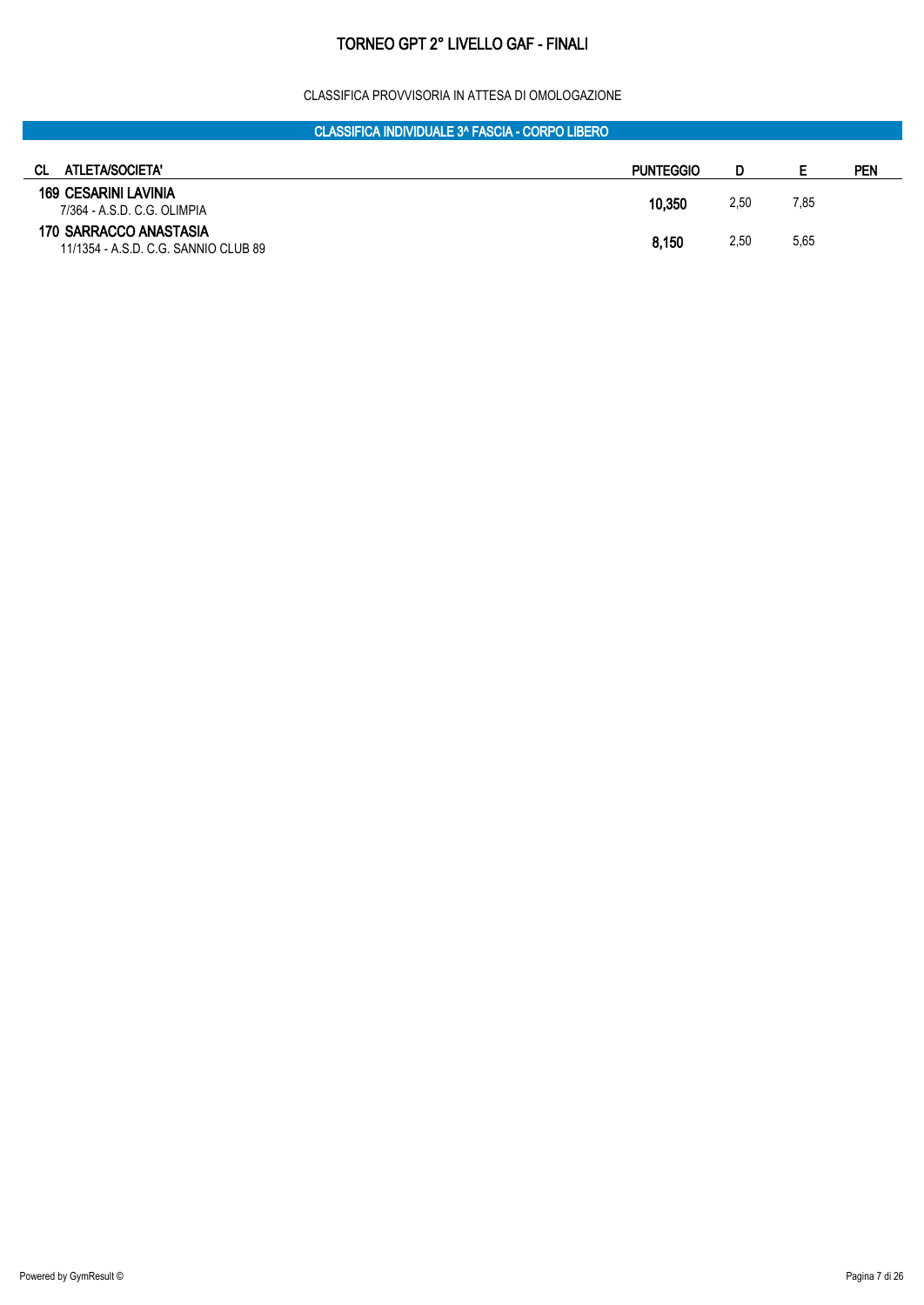#### CLASSIFICA PROVVISORIA IN ATTESA DI OMOLOGAZIONE

| СL<br>ATLETA/SOCIETA'                                          | <b>PUNTEGGIO</b> |      | E    | PEN |
|----------------------------------------------------------------|------------------|------|------|-----|
| 169 CESARINI LAVINIA<br>7/364 - A.S.D. C.G. OLIMPIA            | 10,350           | 2,50 | 7,85 |     |
| 170 SARRACCO ANASTASIA<br>11/1354 - A.S.D. C.G. SANNIO CLUB 89 | 8,150            | 2,50 | 5,65 |     |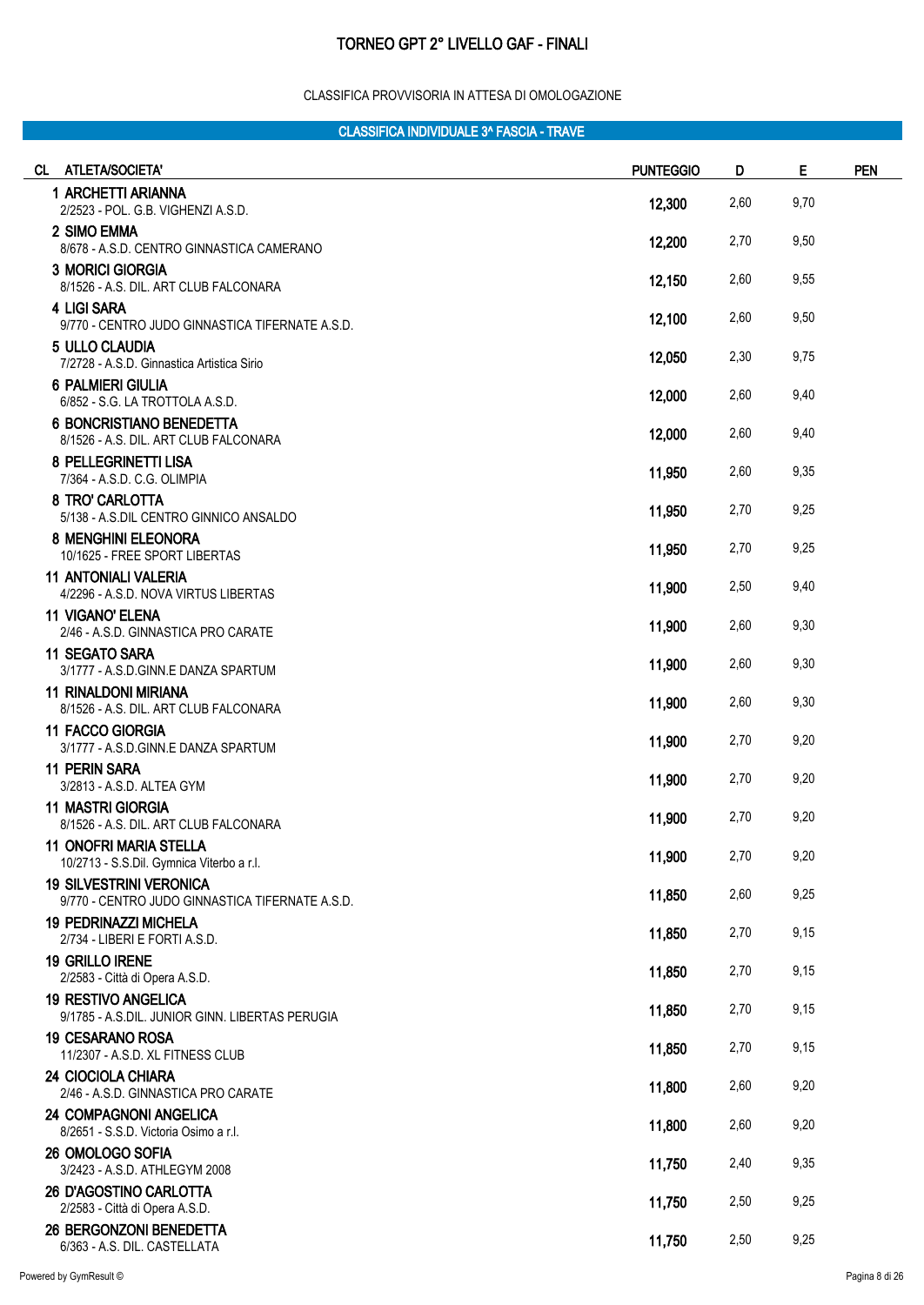#### CLASSIFICA PROVVISORIA IN ATTESA DI OMOLOGAZIONE

| CL ATLETA/SOCIETA'                                                                | <b>PUNTEGGIO</b> | D    | Е    | <b>PEN</b> |
|-----------------------------------------------------------------------------------|------------------|------|------|------------|
| 1 ARCHETTI ARIANNA<br>2/2523 - POL. G.B. VIGHENZI A.S.D.                          | 12,300           | 2,60 | 9,70 |            |
| 2 SIMO EMMA<br>8/678 - A.S.D. CENTRO GINNASTICA CAMERANO                          | 12,200           | 2,70 | 9,50 |            |
| <b>3 MORICI GIORGIA</b><br>8/1526 - A.S. DIL. ART CLUB FALCONARA                  | 12,150           | 2,60 | 9,55 |            |
| <b>4 LIGI SARA</b><br>9/770 - CENTRO JUDO GINNASTICA TIFERNATE A.S.D.             | 12,100           | 2,60 | 9,50 |            |
| 5 ULLO CLAUDIA<br>7/2728 - A.S.D. Ginnastica Artistica Sirio                      | 12,050           | 2,30 | 9,75 |            |
| <b>6 PALMIERI GIULIA</b><br>6/852 - S.G. LA TROTTOLA A.S.D.                       | 12,000           | 2,60 | 9,40 |            |
| <b>6 BONCRISTIANO BENEDETTA</b><br>8/1526 - A.S. DIL. ART CLUB FALCONARA          | 12,000           | 2,60 | 9,40 |            |
| 8 PELLEGRINETTI LISA<br>7/364 - A.S.D. C.G. OLIMPIA                               | 11,950           | 2,60 | 9,35 |            |
| 8 TRO' CARLOTTA<br>5/138 - A.S.DIL CENTRO GINNICO ANSALDO                         | 11,950           | 2,70 | 9,25 |            |
| <b>8 MENGHINI ELEONORA</b><br>10/1625 - FREE SPORT LIBERTAS                       | 11,950           | 2,70 | 9,25 |            |
| <b>11 ANTONIALI VALERIA</b><br>4/2296 - A.S.D. NOVA VIRTUS LIBERTAS               | 11,900           | 2,50 | 9,40 |            |
| <b>11 VIGANO' ELENA</b><br>2/46 - A.S.D. GINNASTICA PRO CARATE                    | 11,900           | 2,60 | 9,30 |            |
| 11 SEGATO SARA<br>3/1777 - A.S.D.GINN.E DANZA SPARTUM                             | 11,900           | 2,60 | 9,30 |            |
| <b>11 RINALDONI MIRIANA</b><br>8/1526 - A.S. DIL. ART CLUB FALCONARA              | 11,900           | 2,60 | 9,30 |            |
| 11 FACCO GIORGIA<br>3/1777 - A.S.D.GINN.E DANZA SPARTUM                           | 11,900           | 2,70 | 9,20 |            |
| <b>11 PERIN SARA</b><br>3/2813 - A.S.D. ALTEA GYM                                 | 11,900           | 2,70 | 9,20 |            |
| <b>11 MASTRI GIORGIA</b><br>8/1526 - A.S. DIL. ART CLUB FALCONARA                 | 11,900           | 2,70 | 9,20 |            |
| 11 ONOFRI MARIA STELLA<br>10/2713 - S.S.Dil. Gymnica Viterbo a r.l.               | 11,900           | 2,70 | 9,20 |            |
| <b>19 SILVESTRINI VERONICA</b><br>9/770 - CENTRO JUDO GINNASTICA TIFERNATE A.S.D. | 11,850           | 2,60 | 9,25 |            |
| <b>19 PEDRINAZZI MICHELA</b><br>2/734 - LIBERI E FORTI A.S.D.                     | 11,850           | 2,70 | 9,15 |            |
| <b>19 GRILLO IRENE</b><br>2/2583 - Città di Opera A.S.D.                          | 11,850           | 2,70 | 9,15 |            |
| <b>19 RESTIVO ANGELICA</b><br>9/1785 - A.S.DIL. JUNIOR GINN. LIBERTAS PERUGIA     | 11,850           | 2,70 | 9,15 |            |
| <b>19 CESARANO ROSA</b><br>11/2307 - A.S.D. XL FITNESS CLUB                       | 11,850           | 2,70 | 9,15 |            |
| 24 CIOCIOLA CHIARA<br>2/46 - A.S.D. GINNASTICA PRO CARATE                         | 11,800           | 2,60 | 9,20 |            |
| <b>24 COMPAGNONI ANGELICA</b><br>8/2651 - S.S.D. Victoria Osimo a r.l.            | 11,800           | 2,60 | 9,20 |            |
| 26 OMOLOGO SOFIA<br>3/2423 - A.S.D. ATHLEGYM 2008                                 | 11,750           | 2,40 | 9,35 |            |
| 26 D'AGOSTINO CARLOTTA<br>2/2583 - Città di Opera A.S.D.                          | 11,750           | 2,50 | 9,25 |            |
| 26 BERGONZONI BENEDETTA<br>6/363 - A.S. DIL. CASTELLATA                           | 11,750           | 2,50 | 9,25 |            |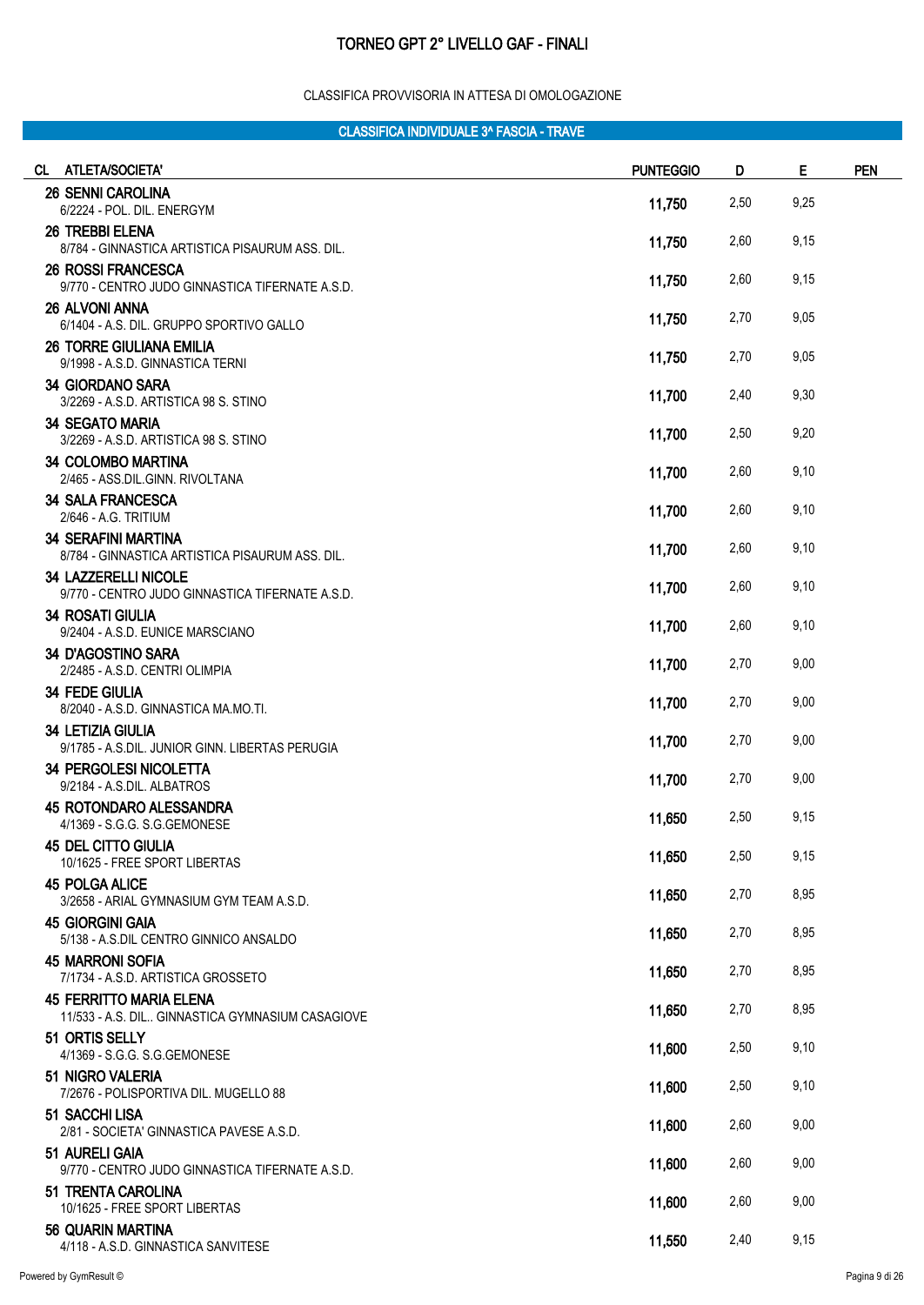#### CLASSIFICA PROVVISORIA IN ATTESA DI OMOLOGAZIONE

| CL ATLETA/SOCIETA'                                                                   | <b>PUNTEGGIO</b> | D    | E    | <b>PEN</b> |
|--------------------------------------------------------------------------------------|------------------|------|------|------------|
| <b>26 SENNI CAROLINA</b><br>6/2224 - POL. DIL. ENERGYM                               | 11,750           | 2,50 | 9,25 |            |
| <b>26 TREBBI ELENA</b><br>8/784 - GINNASTICA ARTISTICA PISAURUM ASS. DIL.            | 11,750           | 2,60 | 9,15 |            |
| <b>26 ROSSI FRANCESCA</b>                                                            | 11,750           | 2,60 | 9,15 |            |
| 9/770 - CENTRO JUDO GINNASTICA TIFERNATE A.S.D.<br><b>26 ALVONI ANNA</b>             | 11,750           | 2,70 | 9,05 |            |
| 6/1404 - A.S. DIL. GRUPPO SPORTIVO GALLO<br><b>26 TORRE GIULIANA EMILIA</b>          |                  |      |      |            |
| 9/1998 - A.S.D. GINNASTICA TERNI<br><b>34 GIORDANO SARA</b>                          | 11,750           | 2,70 | 9,05 |            |
| 3/2269 - A.S.D. ARTISTICA 98 S. STINO<br><b>34 SEGATO MARIA</b>                      | 11,700           | 2,40 | 9,30 |            |
| 3/2269 - A.S.D. ARTISTICA 98 S. STINO                                                | 11,700           | 2,50 | 9,20 |            |
| <b>34 COLOMBO MARTINA</b><br>2/465 - ASS.DIL.GINN. RIVOLTANA                         | 11,700           | 2,60 | 9,10 |            |
| <b>34 SALA FRANCESCA</b><br>2/646 - A.G. TRITIUM                                     | 11,700           | 2,60 | 9,10 |            |
| <b>34 SERAFINI MARTINA</b><br>8/784 - GINNASTICA ARTISTICA PISAURUM ASS. DIL.        | 11,700           | 2,60 | 9,10 |            |
| <b>34 LAZZERELLI NICOLE</b><br>9/770 - CENTRO JUDO GINNASTICA TIFERNATE A.S.D.       | 11,700           | 2,60 | 9,10 |            |
| <b>34 ROSATI GIULIA</b><br>9/2404 - A.S.D. EUNICE MARSCIANO                          | 11,700           | 2,60 | 9,10 |            |
| <b>34 D'AGOSTINO SARA</b><br>2/2485 - A.S.D. CENTRI OLIMPIA                          | 11,700           | 2,70 | 9,00 |            |
| <b>34 FEDE GIULIA</b><br>8/2040 - A.S.D. GINNASTICA MA.MO.TI.                        | 11,700           | 2,70 | 9,00 |            |
| <b>34 LETIZIA GIULIA</b><br>9/1785 - A.S.DIL. JUNIOR GINN, LIBERTAS PERUGIA          | 11,700           | 2,70 | 9,00 |            |
| <b>34 PERGOLESI NICOLETTA</b><br>9/2184 - A.S.DIL. ALBATROS                          | 11,700           | 2,70 | 9,00 |            |
| <b>45 ROTONDARO ALESSANDRA</b><br>4/1369 - S.G.G. S.G.GEMONESE                       | 11,650           | 2,50 | 9,15 |            |
| <b>45 DEL CITTO GIULIA</b><br>10/1625 - FREE SPORT LIBERTAS                          | 11,650           | 2,50 | 9,15 |            |
| <b>45 POLGA ALICE</b><br>3/2658 - ARIAL GYMNASIUM GYM TEAM A.S.D.                    | 11,650           | 2,70 | 8,95 |            |
| <b>45 GIORGINI GAIA</b><br>5/138 - A.S.DIL CENTRO GINNICO ANSALDO                    | 11,650           | 2,70 | 8,95 |            |
| <b>45 MARRONI SOFIA</b><br>7/1734 - A.S.D. ARTISTICA GROSSETO                        | 11,650           | 2,70 | 8,95 |            |
| <b>45 FERRITTO MARIA ELENA</b><br>11/533 - A.S. DIL., GINNASTICA GYMNASIUM CASAGIOVE | 11,650           | 2,70 | 8,95 |            |
| 51 ORTIS SELLY<br>4/1369 - S.G.G. S.G.GEMONESE                                       | 11,600           | 2,50 | 9,10 |            |
| 51 NIGRO VALERIA<br>7/2676 - POLISPORTIVA DIL. MUGELLO 88                            | 11,600           | 2,50 | 9,10 |            |
| 51 SACCHI LISA                                                                       | 11,600           | 2,60 | 9,00 |            |
| 2/81 - SOCIETA' GINNASTICA PAVESE A.S.D.<br>51 AURELI GAIA                           |                  |      | 9,00 |            |
| 9/770 - CENTRO JUDO GINNASTICA TIFERNATE A.S.D.<br>51 TRENTA CAROLINA                | 11,600           | 2,60 |      |            |
| 10/1625 - FREE SPORT LIBERTAS                                                        | 11,600           | 2,60 | 9,00 |            |
| 56 QUARIN MARTINA<br>4/118 - A.S.D. GINNASTICA SANVITESE                             | 11,550           | 2,40 | 9,15 |            |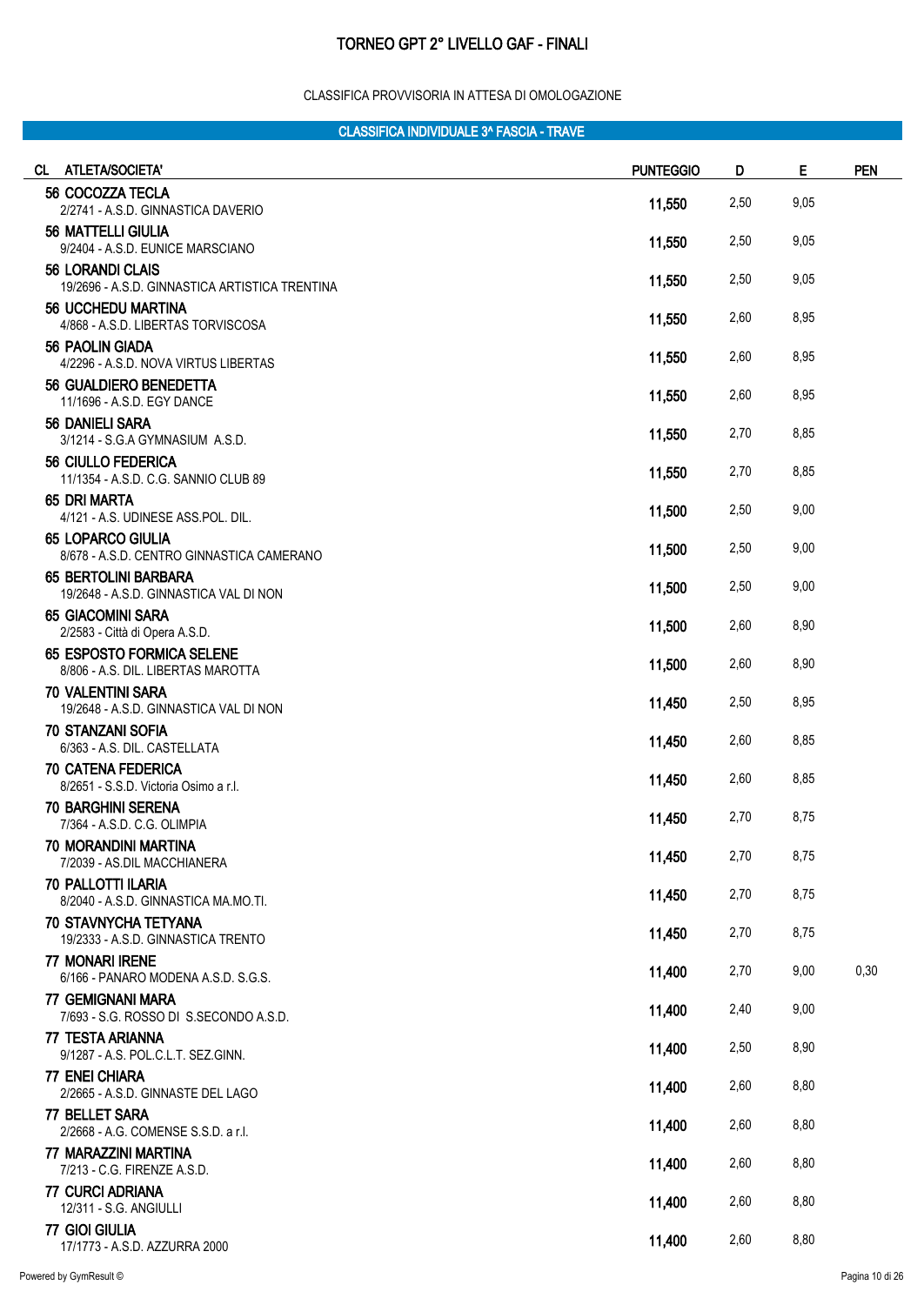#### CLASSIFICA PROVVISORIA IN ATTESA DI OMOLOGAZIONE

| <b>ATLETA/SOCIETA'</b><br>CL .                                            | <b>PUNTEGGIO</b> | D    | E    | <b>PEN</b> |
|---------------------------------------------------------------------------|------------------|------|------|------------|
| 56 COCOZZA TECLA<br>2/2741 - A.S.D. GINNASTICA DAVERIO                    | 11,550           | 2,50 | 9,05 |            |
| <b>56 MATTELLI GIULIA</b><br>9/2404 - A.S.D. EUNICE MARSCIANO             | 11,550           | 2,50 | 9,05 |            |
| <b>56 LORANDI CLAIS</b><br>19/2696 - A.S.D. GINNASTICA ARTISTICA TRENTINA | 11,550           | 2,50 | 9,05 |            |
| <b>56 UCCHEDU MARTINA</b><br>4/868 - A.S.D. LIBERTAS TORVISCOSA           | 11,550           | 2,60 | 8,95 |            |
| 56 PAOLIN GIADA<br>4/2296 - A.S.D. NOVA VIRTUS LIBERTAS                   | 11,550           | 2,60 | 8,95 |            |
| <b>56 GUALDIERO BENEDETTA</b><br>11/1696 - A.S.D. EGY DANCE               | 11,550           | 2,60 | 8,95 |            |
| 56 DANIELI SARA<br>3/1214 - S.G.A GYMNASIUM A.S.D.                        | 11,550           | 2,70 | 8,85 |            |
| 56 CIULLO FEDERICA<br>11/1354 - A.S.D. C.G. SANNIO CLUB 89                | 11,550           | 2,70 | 8,85 |            |
| 65 DRI MARTA<br>4/121 - A.S. UDINESE ASS.POL. DIL.                        | 11,500           | 2,50 | 9,00 |            |
| <b>65 LOPARCO GIULIA</b><br>8/678 - A.S.D. CENTRO GINNASTICA CAMERANO     | 11,500           | 2,50 | 9,00 |            |
| <b>65 BERTOLINI BARBARA</b><br>19/2648 - A.S.D. GINNASTICA VAL DI NON     | 11,500           | 2,50 | 9,00 |            |
| <b>65 GIACOMINI SARA</b><br>2/2583 - Città di Opera A.S.D.                | 11,500           | 2,60 | 8,90 |            |
| 65 ESPOSTO FORMICA SELENE<br>8/806 - A.S. DIL. LIBERTAS MAROTTA           | 11,500           | 2,60 | 8,90 |            |
| <b>70 VALENTINI SARA</b><br>19/2648 - A.S.D. GINNASTICA VAL DI NON        | 11,450           | 2,50 | 8,95 |            |
| <b>70 STANZANI SOFIA</b><br>6/363 - A.S. DIL. CASTELLATA                  | 11,450           | 2,60 | 8,85 |            |
| <b>70 CATENA FEDERICA</b><br>8/2651 - S.S.D. Victoria Osimo a r.l.        | 11,450           | 2,60 | 8,85 |            |
| <b>70 BARGHINI SERENA</b><br>7/364 - A.S.D. C.G. OLIMPIA                  | 11,450           | 2,70 | 8,75 |            |
| 70 MORANDINI MARTINA<br>7/2039 - AS.DIL MACCHIANERA                       | 11,450           | 2,70 | 8,75 |            |
| 70 PALLOTTI ILARIA<br>8/2040 - A.S.D. GINNASTICA MA.MO.TI.                | 11,450           | 2,70 | 8,75 |            |
| <b>70 STAVNYCHA TETYANA</b><br>19/2333 - A.S.D. GINNASTICA TRENTO         | 11,450           | 2,70 | 8,75 |            |
| 77 MONARI IRENE<br>6/166 - PANARO MODENA A.S.D. S.G.S.                    | 11,400           | 2,70 | 9,00 | 0,30       |
| <b>77 GEMIGNANI MARA</b><br>7/693 - S.G. ROSSO DI S.SECONDO A.S.D.        | 11,400           | 2,40 | 9,00 |            |
| 77 TESTA ARIANNA<br>9/1287 - A.S. POL.C.L.T. SEZ.GINN.                    | 11,400           | 2,50 | 8,90 |            |
| 77 ENEI CHIARA<br>2/2665 - A.S.D. GINNASTE DEL LAGO                       | 11,400           | 2,60 | 8,80 |            |
| 77 BELLET SARA<br>2/2668 - A.G. COMENSE S.S.D. a r.l.                     | 11,400           | 2,60 | 8,80 |            |
| 77 MARAZZINI MARTINA<br>7/213 - C.G. FIRENZE A.S.D.                       | 11,400           | 2,60 | 8,80 |            |
| 77 CURCI ADRIANA<br>12/311 - S.G. ANGIULLI                                | 11,400           | 2,60 | 8,80 |            |
| 77 GIOI GIULIA<br>17/1773 - A.S.D. AZZURRA 2000                           | 11,400           | 2,60 | 8,80 |            |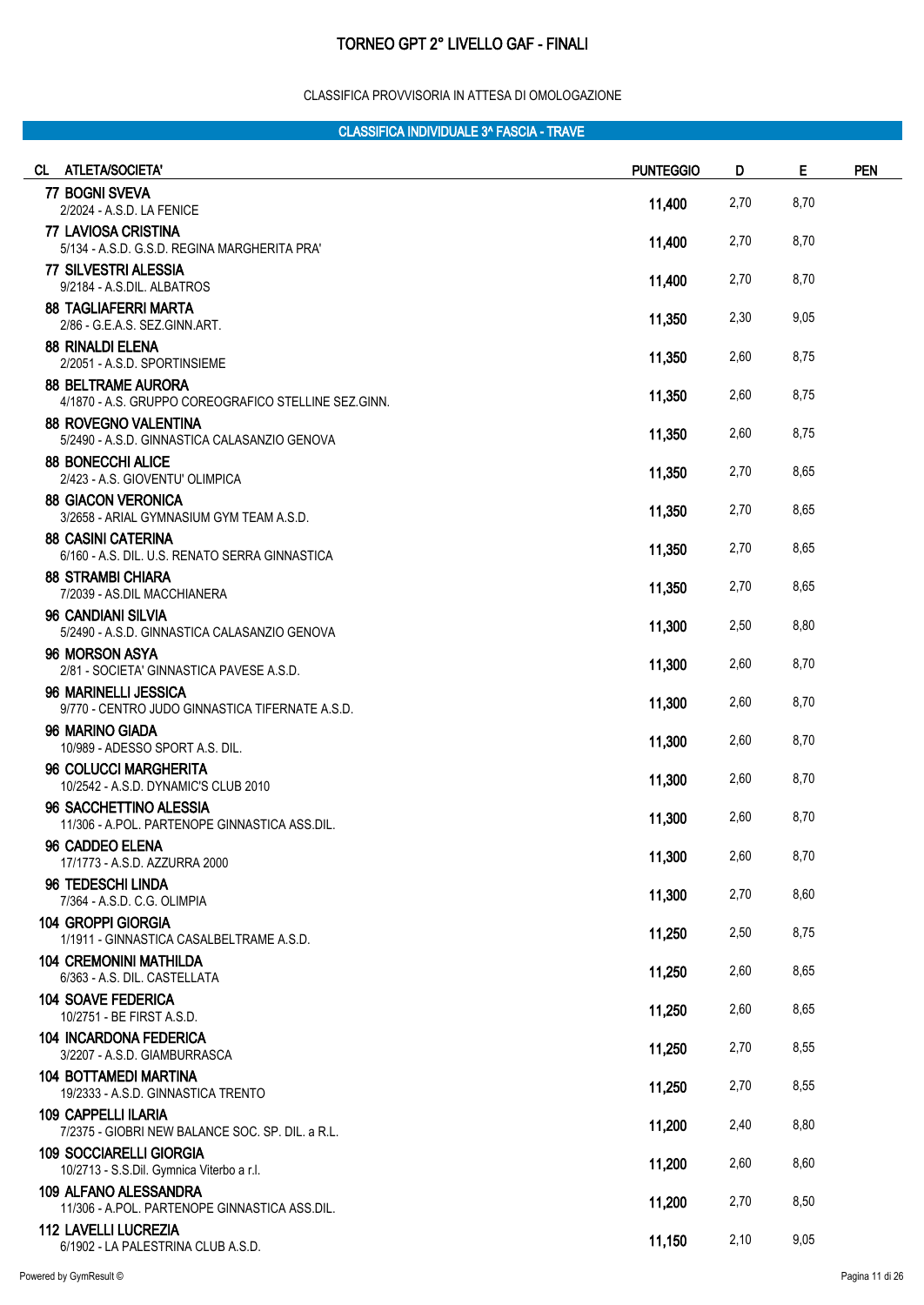#### CLASSIFICA PROVVISORIA IN ATTESA DI OMOLOGAZIONE

| CL ATLETA/SOCIETA'                                                                | <b>PUNTEGGIO</b> | D    | Е    | <b>PEN</b> |
|-----------------------------------------------------------------------------------|------------------|------|------|------------|
| 77 BOGNI SVEVA                                                                    | 11,400           | 2,70 | 8,70 |            |
| 2/2024 - A.S.D. LA FENICE<br>77 LAVIOSA CRISTINA                                  |                  |      |      |            |
| 5/134 - A.S.D. G.S.D. REGINA MARGHERITA PRA'                                      | 11,400           | 2,70 | 8,70 |            |
| 77 SILVESTRI ALESSIA<br>9/2184 - A.S.DIL. ALBATROS                                | 11,400           | 2,70 | 8,70 |            |
| <b>88 TAGLIAFERRI MARTA</b><br>2/86 - G.E.A.S. SEZ.GINN.ART.                      | 11,350           | 2,30 | 9,05 |            |
| <b>88 RINALDI ELENA</b><br>2/2051 - A.S.D. SPORTINSIEME                           | 11,350           | 2,60 | 8,75 |            |
| <b>88 BELTRAME AURORA</b><br>4/1870 - A.S. GRUPPO COREOGRAFICO STELLINE SEZ.GINN. | 11,350           | 2,60 | 8,75 |            |
| <b>88 ROVEGNO VALENTINA</b><br>5/2490 - A.S.D. GINNASTICA CALASANZIO GENOVA       | 11,350           | 2,60 | 8,75 |            |
| <b>88 BONECCHI ALICE</b><br>2/423 - A.S. GIOVENTU' OLIMPICA                       | 11,350           | 2,70 | 8,65 |            |
| <b>88 GIACON VERONICA</b><br>3/2658 - ARIAL GYMNASIUM GYM TEAM A.S.D.             | 11,350           | 2,70 | 8,65 |            |
| <b>88 CASINI CATERINA</b><br>6/160 - A.S. DIL. U.S. RENATO SERRA GINNASTICA       | 11,350           | 2,70 | 8,65 |            |
| <b>88 STRAMBI CHIARA</b><br>7/2039 - AS.DIL MACCHIANERA                           | 11,350           | 2,70 | 8,65 |            |
| 96 CANDIANI SILVIA<br>5/2490 - A.S.D. GINNASTICA CALASANZIO GENOVA                | 11,300           | 2,50 | 8,80 |            |
| 96 MORSON ASYA<br>2/81 - SOCIETA' GINNASTICA PAVESE A.S.D.                        | 11,300           | 2,60 | 8,70 |            |
| 96 MARINELLI JESSICA<br>9/770 - CENTRO JUDO GINNASTICA TIFERNATE A.S.D.           | 11,300           | 2,60 | 8,70 |            |
| 96 MARINO GIADA<br>10/989 - ADESSO SPORT A.S. DIL.                                | 11,300           | 2,60 | 8,70 |            |
| 96 COLUCCI MARGHERITA<br>10/2542 - A.S.D. DYNAMIC'S CLUB 2010                     | 11,300           | 2,60 | 8,70 |            |
| 96 SACCHETTINO ALESSIA<br>11/306 - A.POL. PARTENOPE GINNASTICA ASS.DIL.           | 11,300           | 2,60 | 8,70 |            |
| 96 CADDEO ELENA<br>17/1773 - A.S.D. AZZURRA 2000                                  | 11,300           | 2,60 | 8,70 |            |
| 96 TEDESCHI LINDA<br>7/364 - A.S.D. C.G. OLIMPIA                                  | 11,300           | 2,70 | 8,60 |            |
| 104 GROPPI GIORGIA<br>1/1911 - GINNASTICA CASALBELTRAME A.S.D.                    | 11,250           | 2,50 | 8,75 |            |
| <b>104 CREMONINI MATHILDA</b><br>6/363 - A.S. DIL. CASTELLATA                     | 11,250           | 2,60 | 8,65 |            |
| <b>104 SOAVE FEDERICA</b><br>10/2751 - BE FIRST A.S.D.                            | 11,250           | 2,60 | 8,65 |            |
| <b>104 INCARDONA FEDERICA</b><br>3/2207 - A.S.D. GIAMBURRASCA                     | 11,250           | 2,70 | 8,55 |            |
| <b>104 BOTTAMEDI MARTINA</b><br>19/2333 - A.S.D. GINNASTICA TRENTO                | 11,250           | 2,70 | 8,55 |            |
| <b>109 CAPPELLI ILARIA</b><br>7/2375 - GIOBRI NEW BALANCE SOC. SP. DIL. a R.L.    | 11,200           | 2,40 | 8,80 |            |
| <b>109 SOCCIARELLI GIORGIA</b><br>10/2713 - S.S.Dil. Gymnica Viterbo a r.l.       | 11,200           | 2,60 | 8,60 |            |
| <b>109 ALFANO ALESSANDRA</b><br>11/306 - A.POL. PARTENOPE GINNASTICA ASS.DIL.     | 11,200           | 2,70 | 8,50 |            |
| <b>112 LAVELLI LUCREZIA</b><br>6/1902 - LA PALESTRINA CLUB A.S.D.                 | 11,150           | 2,10 | 9,05 |            |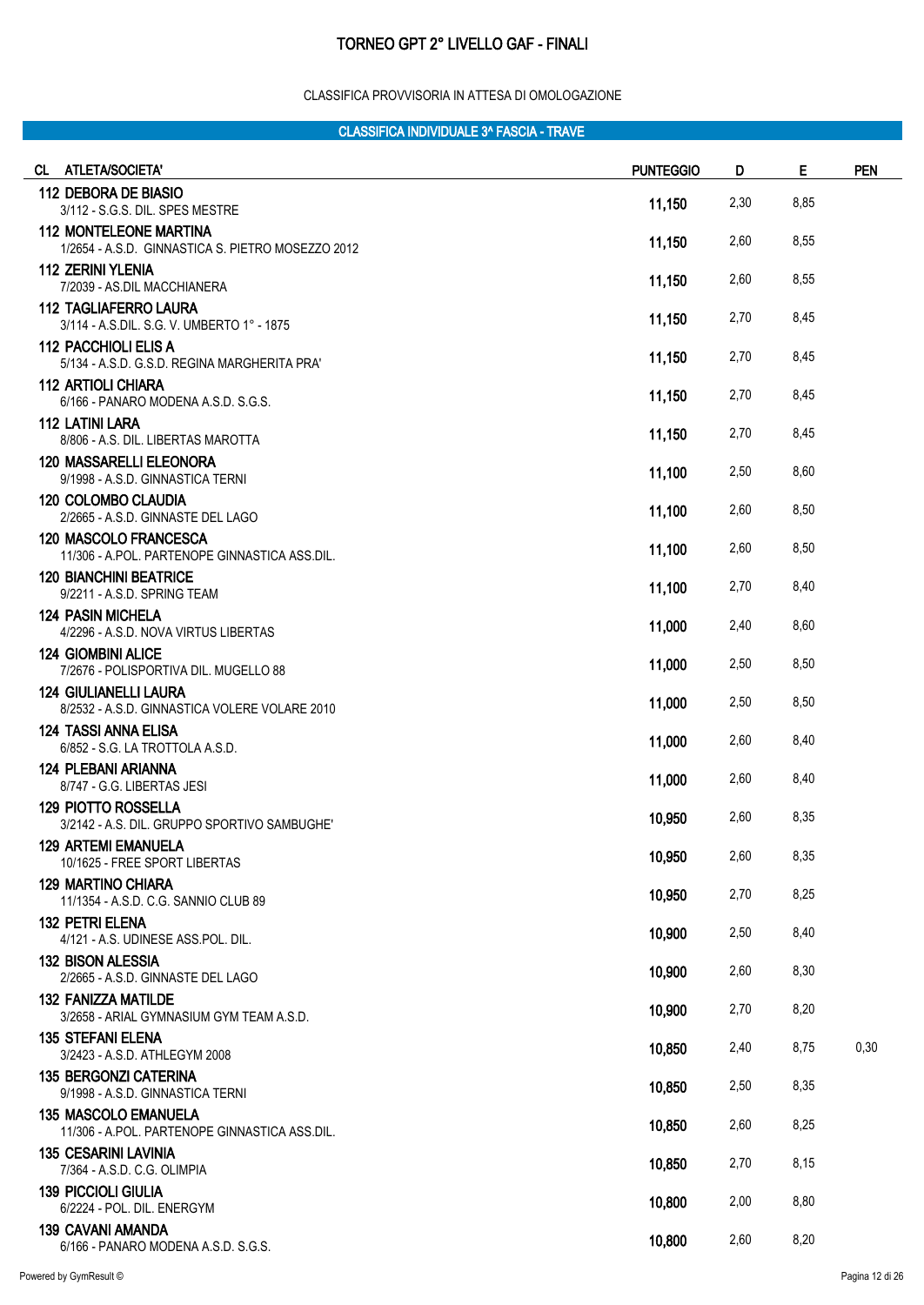#### CLASSIFICA PROVVISORIA IN ATTESA DI OMOLOGAZIONE

| CL ATLETA/SOCIETA'                                                                 | <b>PUNTEGGIO</b> | D    | Е    | <b>PEN</b> |
|------------------------------------------------------------------------------------|------------------|------|------|------------|
| 112 DEBORA DE BIASIO<br>3/112 - S.G.S. DIL. SPES MESTRE                            | 11,150           | 2,30 | 8,85 |            |
| <b>112 MONTELEONE MARTINA</b><br>1/2654 - A.S.D. GINNASTICA S. PIETRO MOSEZZO 2012 | 11,150           | 2,60 | 8,55 |            |
| <b>112 ZERINI YLENIA</b><br>7/2039 - AS.DIL MACCHIANERA                            | 11,150           | 2,60 | 8,55 |            |
| <b>112 TAGLIAFERRO LAURA</b><br>3/114 - A.S.DIL. S.G. V. UMBERTO 1° - 1875         | 11,150           | 2,70 | 8,45 |            |
| 112 PACCHIOLI ELIS A<br>5/134 - A.S.D. G.S.D. REGINA MARGHERITA PRA'               | 11,150           | 2,70 | 8,45 |            |
| 112 ARTIOLI CHIARA<br>6/166 - PANARO MODENA A.S.D. S.G.S.                          | 11,150           | 2,70 | 8,45 |            |
| <b>112 LATINI LARA</b><br>8/806 - A.S. DIL. LIBERTAS MAROTTA                       | 11,150           | 2,70 | 8,45 |            |
| <b>120 MASSARELLI ELEONORA</b><br>9/1998 - A.S.D. GINNASTICA TERNI                 | 11,100           | 2,50 | 8,60 |            |
| <b>120 COLOMBO CLAUDIA</b><br>2/2665 - A.S.D. GINNASTE DEL LAGO                    | 11,100           | 2,60 | 8,50 |            |
| 120 MASCOLO FRANCESCA<br>11/306 - A.POL. PARTENOPE GINNASTICA ASS.DIL.             | 11,100           | 2,60 | 8,50 |            |
| <b>120 BIANCHINI BEATRICE</b><br>9/2211 - A.S.D. SPRING TEAM                       | 11,100           | 2,70 | 8,40 |            |
| <b>124 PASIN MICHELA</b><br>4/2296 - A.S.D. NOVA VIRTUS LIBERTAS                   | 11,000           | 2,40 | 8,60 |            |
| <b>124 GIOMBINI ALICE</b><br>7/2676 - POLISPORTIVA DIL. MUGELLO 88                 | 11,000           | 2,50 | 8,50 |            |
| <b>124 GIULIANELLI LAURA</b><br>8/2532 - A.S.D. GINNASTICA VOLERE VOLARE 2010      | 11,000           | 2,50 | 8,50 |            |
| <b>124 TASSI ANNA ELISA</b><br>6/852 - S.G. LA TROTTOLA A.S.D.                     | 11,000           | 2,60 | 8,40 |            |
| <b>124 PLEBANI ARIANNA</b><br>8/747 - G.G. LIBERTAS JESI                           | 11,000           | 2,60 | 8,40 |            |
| <b>129 PIOTTO ROSSELLA</b><br>3/2142 - A.S. DIL. GRUPPO SPORTIVO SAMBUGHE'         | 10,950           | 2,60 | 8,35 |            |
| <b>129 ARTEMI EMANUELA</b><br>10/1625 - FREE SPORT LIBERTAS                        | 10,950           | 2,60 | 8,35 |            |
| <b>129 MARTINO CHIARA</b><br>11/1354 - A.S.D. C.G. SANNIO CLUB 89                  | 10,950           | 2,70 | 8,25 |            |
| <b>132 PETRI ELENA</b><br>4/121 - A.S. UDINESE ASS.POL. DIL.                       | 10,900           | 2,50 | 8,40 |            |
| <b>132 BISON ALESSIA</b><br>2/2665 - A.S.D. GINNASTE DEL LAGO                      | 10,900           | 2,60 | 8,30 |            |
| <b>132 FANIZZA MATILDE</b><br>3/2658 - ARIAL GYMNASIUM GYM TEAM A.S.D.             | 10,900           | 2,70 | 8,20 |            |
| <b>135 STEFANI ELENA</b><br>3/2423 - A.S.D. ATHLEGYM 2008                          | 10,850           | 2,40 | 8,75 | 0,30       |
| <b>135 BERGONZI CATERINA</b><br>9/1998 - A.S.D. GINNASTICA TERNI                   | 10,850           | 2,50 | 8,35 |            |
| <b>135 MASCOLO EMANUELA</b><br>11/306 - A.POL. PARTENOPE GINNASTICA ASS.DIL.       | 10,850           | 2,60 | 8,25 |            |
| <b>135 CESARINI LAVINIA</b><br>7/364 - A.S.D. C.G. OLIMPIA                         | 10,850           | 2,70 | 8,15 |            |
| <b>139 PICCIOLI GIULIA</b><br>6/2224 - POL. DIL. ENERGYM                           | 10,800           | 2,00 | 8,80 |            |
| 139 CAVANI AMANDA<br>6/166 - PANARO MODENA A.S.D. S.G.S.                           | 10,800           | 2,60 | 8,20 |            |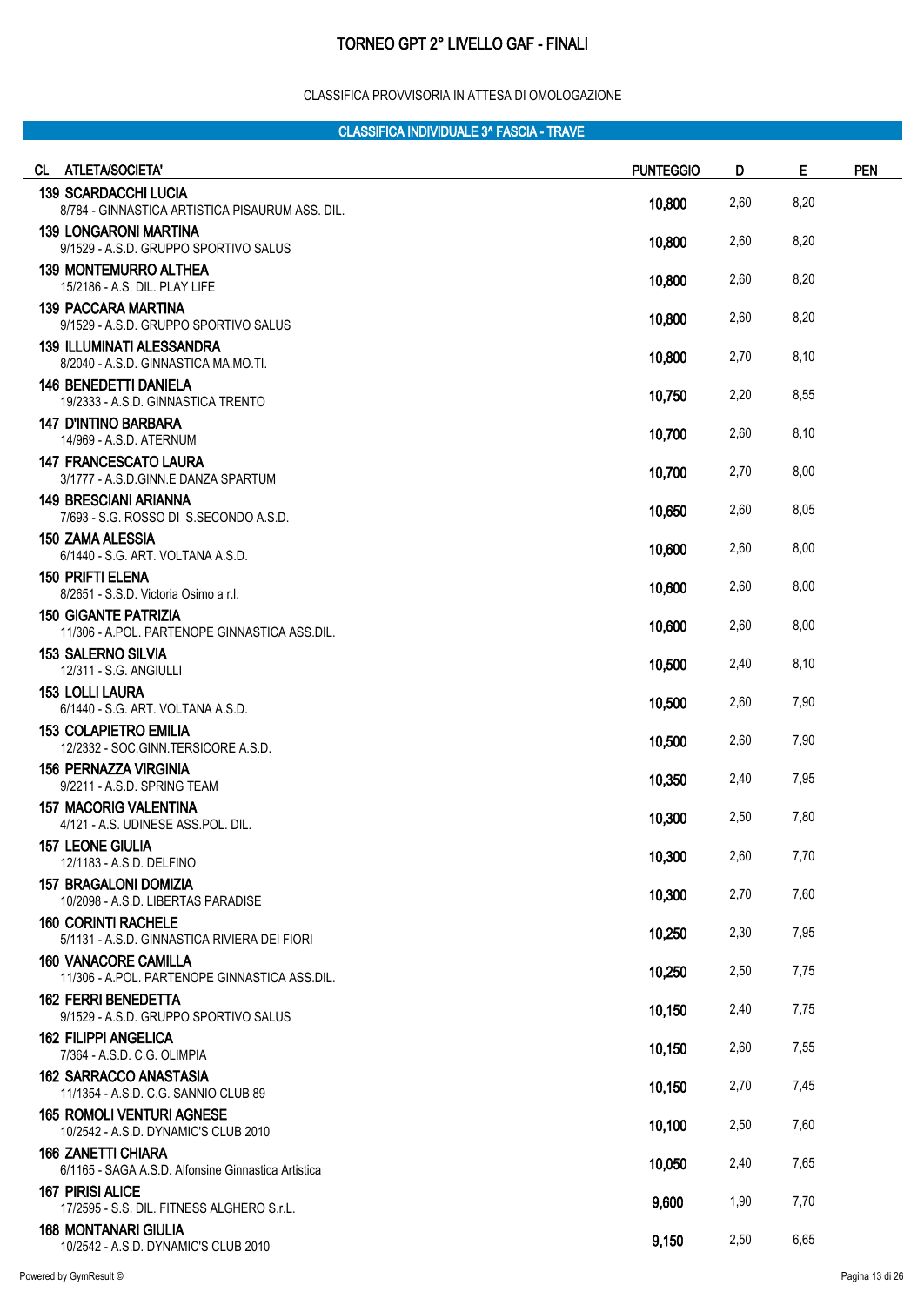#### CLASSIFICA PROVVISORIA IN ATTESA DI OMOLOGAZIONE

| CL. | <b>ATLETA/SOCIETA'</b>                                                           | <b>PUNTEGGIO</b> | D    | Е    | <b>PEN</b> |
|-----|----------------------------------------------------------------------------------|------------------|------|------|------------|
|     | <b>139 SCARDACCHI LUCIA</b><br>8/784 - GINNASTICA ARTISTICA PISAURUM ASS. DIL.   | 10,800           | 2,60 | 8,20 |            |
|     | <b>139 LONGARONI MARTINA</b><br>9/1529 - A.S.D. GRUPPO SPORTIVO SALUS            | 10,800           | 2,60 | 8,20 |            |
|     | <b>139 MONTEMURRO ALTHEA</b><br>15/2186 - A.S. DIL. PLAY LIFE                    | 10,800           | 2,60 | 8,20 |            |
|     | <b>139 PACCARA MARTINA</b><br>9/1529 - A.S.D. GRUPPO SPORTIVO SALUS              | 10,800           | 2,60 | 8,20 |            |
|     | <b>139 ILLUMINATI ALESSANDRA</b><br>8/2040 - A.S.D. GINNASTICA MA.MO.TI.         | 10,800           | 2,70 | 8,10 |            |
|     | <b>146 BENEDETTI DANIELA</b><br>19/2333 - A.S.D. GINNASTICA TRENTO               | 10,750           | 2,20 | 8,55 |            |
|     | <b>147 D'INTINO BARBARA</b><br>14/969 - A.S.D. ATERNUM                           | 10,700           | 2,60 | 8,10 |            |
|     | <b>147 FRANCESCATO LAURA</b><br>3/1777 - A.S.D.GINN.E DANZA SPARTUM              | 10,700           | 2,70 | 8,00 |            |
|     | <b>149 BRESCIANI ARIANNA</b><br>7/693 - S.G. ROSSO DI S.SECONDO A.S.D.           | 10,650           | 2,60 | 8,05 |            |
|     | <b>150 ZAMA ALESSIA</b><br>6/1440 - S.G. ART. VOLTANA A.S.D.                     | 10,600           | 2,60 | 8,00 |            |
|     | <b>150 PRIFTI ELENA</b><br>8/2651 - S.S.D. Victoria Osimo a r.l.                 | 10,600           | 2,60 | 8,00 |            |
|     | <b>150 GIGANTE PATRIZIA</b><br>11/306 - A.POL. PARTENOPE GINNASTICA ASS.DIL.     | 10,600           | 2,60 | 8,00 |            |
|     | <b>153 SALERNO SILVIA</b><br>12/311 - S.G. ANGIULLI                              | 10,500           | 2,40 | 8,10 |            |
|     | <b>153 LOLLI LAURA</b><br>6/1440 - S.G. ART. VOLTANA A.S.D.                      | 10,500           | 2,60 | 7,90 |            |
|     | <b>153 COLAPIETRO EMILIA</b><br>12/2332 - SOC.GINN.TERSICORE A.S.D.              | 10,500           | 2,60 | 7,90 |            |
|     | <b>156 PERNAZZA VIRGINIA</b><br>9/2211 - A.S.D. SPRING TEAM                      | 10,350           | 2,40 | 7,95 |            |
|     | <b>157 MACORIG VALENTINA</b><br>4/121 - A.S. UDINESE ASS.POL. DIL.               | 10,300           | 2,50 | 7,80 |            |
|     | <b>157 LEONE GIULIA</b><br>12/1183 - A.S.D. DELFINO                              | 10,300           | 2,60 | 7,70 |            |
|     | <b>157 BRAGALONI DOMIZIA</b><br>10/2098 - A.S.D. LIBERTAS PARADISE               | 10,300           | 2,70 | 7,60 |            |
|     | <b>160 CORINTI RACHELE</b><br>5/1131 - A.S.D. GINNASTICA RIVIERA DEI FIORI       | 10,250           | 2,30 | 7,95 |            |
|     | <b>160 VANACORE CAMILLA</b><br>11/306 - A.POL. PARTENOPE GINNASTICA ASS.DIL.     | 10,250           | 2,50 | 7,75 |            |
|     | <b>162 FERRI BENEDETTA</b><br>9/1529 - A.S.D. GRUPPO SPORTIVO SALUS              | 10,150           | 2,40 | 7,75 |            |
|     | <b>162 FILIPPI ANGELICA</b><br>7/364 - A.S.D. C.G. OLIMPIA                       | 10,150           | 2,60 | 7,55 |            |
|     | <b>162 SARRACCO ANASTASIA</b><br>11/1354 - A.S.D. C.G. SANNIO CLUB 89            | 10,150           | 2,70 | 7,45 |            |
|     | <b>165 ROMOLI VENTURI AGNESE</b><br>10/2542 - A.S.D. DYNAMIC'S CLUB 2010         | 10,100           | 2,50 | 7,60 |            |
|     | <b>166 ZANETTI CHIARA</b><br>6/1165 - SAGA A.S.D. Alfonsine Ginnastica Artistica | 10,050           | 2,40 | 7,65 |            |
|     | <b>167 PIRISI ALICE</b><br>17/2595 - S.S. DIL. FITNESS ALGHERO S.r.L.            | 9,600            | 1,90 | 7,70 |            |
|     | <b>168 MONTANARI GIULIA</b><br>10/2542 - A.S.D. DYNAMIC'S CLUB 2010              | 9,150            | 2,50 | 6,65 |            |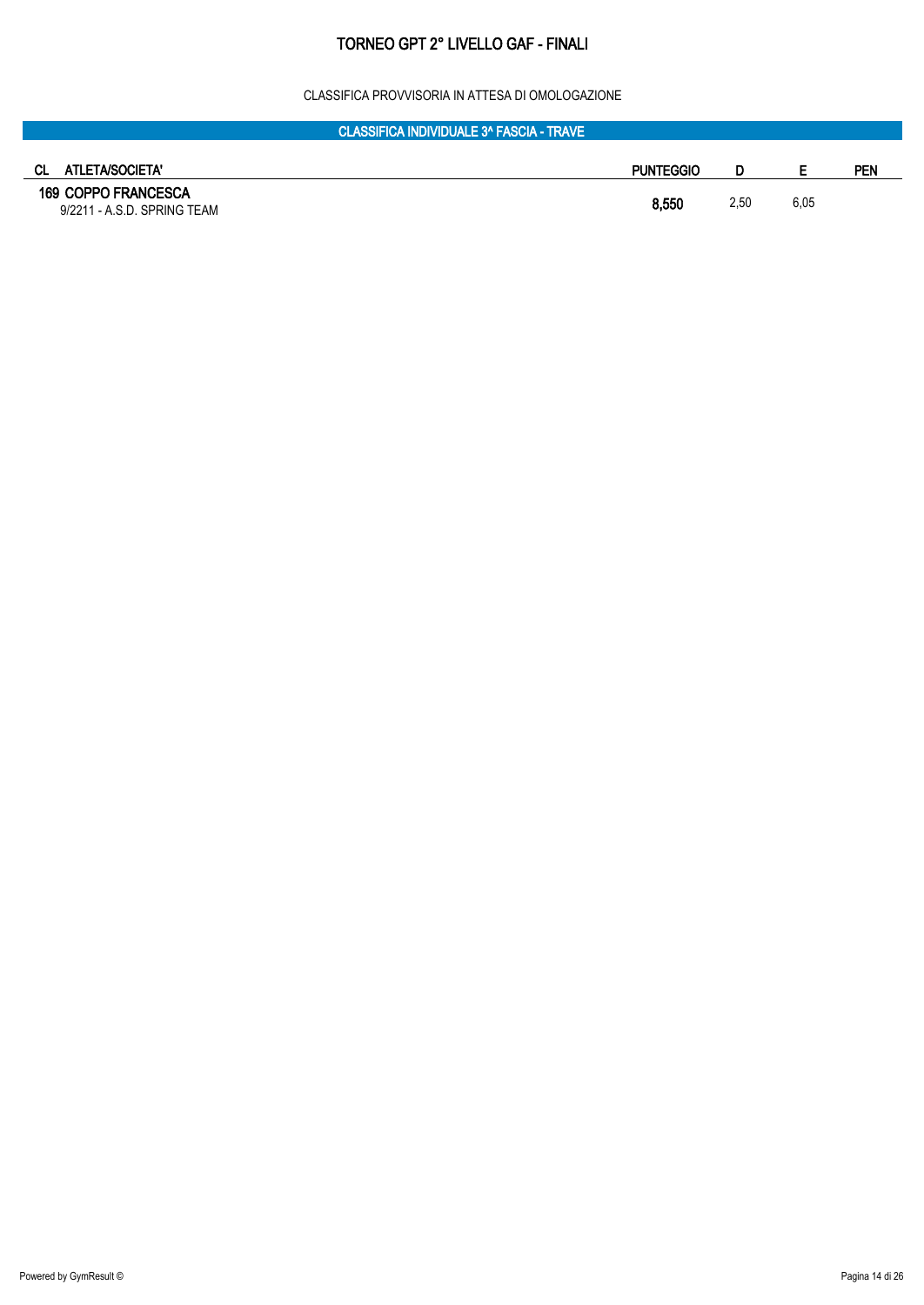#### CLASSIFICA PROVVISORIA IN ATTESA DI OMOLOGAZIONE

| <b>CLASSIFICA INDIVIDUALE 3^ FASCIA - TRAVE</b>           |                  |      |      |     |
|-----------------------------------------------------------|------------------|------|------|-----|
|                                                           |                  |      |      |     |
| ATLETA/SOCIETA'<br>CL.                                    | <b>PUNTEGGIO</b> |      |      | PEN |
| <b>169 COPPO FRANCESCA</b><br>9/2211 - A.S.D. SPRING TEAM | 8,550            | 2,50 | 6,05 |     |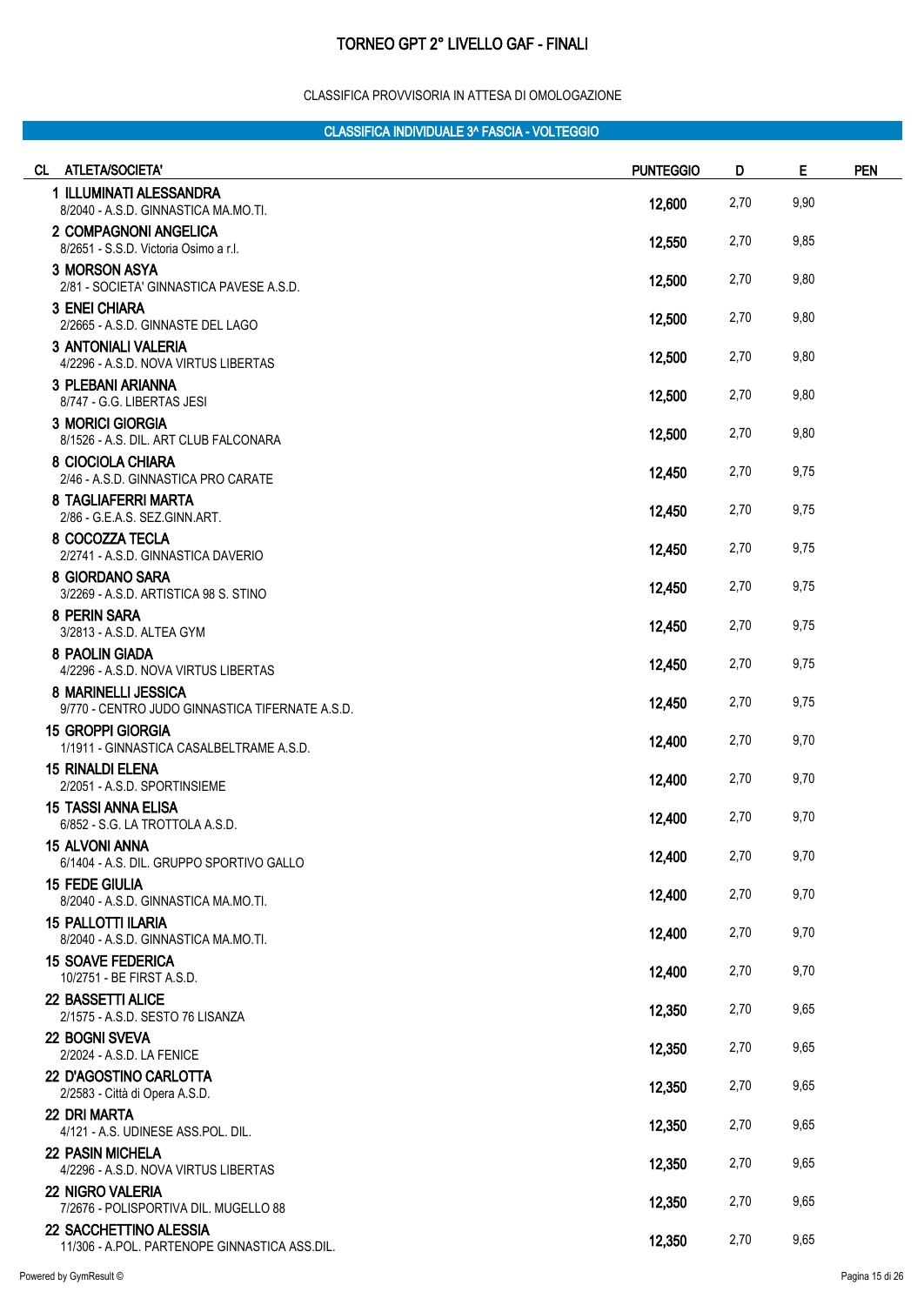#### CLASSIFICA PROVVISORIA IN ATTESA DI OMOLOGAZIONE

| CL ATLETA/SOCIETA'                                                      | <b>PUNTEGGIO</b> | D    | Е    | <b>PEN</b> |
|-------------------------------------------------------------------------|------------------|------|------|------------|
| 1 ILLUMINATI ALESSANDRA<br>8/2040 - A.S.D. GINNASTICA MA.MO.TI.         | 12,600           | 2,70 | 9,90 |            |
| 2 COMPAGNONI ANGELICA<br>8/2651 - S.S.D. Victoria Osimo a r.l.          | 12,550           | 2,70 | 9,85 |            |
| <b>3 MORSON ASYA</b><br>2/81 - SOCIETA' GINNASTICA PAVESE A.S.D.        | 12,500           | 2,70 | 9,80 |            |
| 3 ENEI CHIARA<br>2/2665 - A.S.D. GINNASTE DEL LAGO                      | 12,500           | 2,70 | 9,80 |            |
| <b>3 ANTONIALI VALERIA</b><br>4/2296 - A.S.D. NOVA VIRTUS LIBERTAS      | 12,500           | 2,70 | 9,80 |            |
| <b>3 PLEBANI ARIANNA</b><br>8/747 - G.G. LIBERTAS JESI                  | 12,500           | 2,70 | 9,80 |            |
| <b>3 MORICI GIORGIA</b><br>8/1526 - A.S. DIL. ART CLUB FALCONARA        | 12,500           | 2,70 | 9,80 |            |
| 8 CIOCIOLA CHIARA<br>2/46 - A.S.D. GINNASTICA PRO CARATE                | 12,450           | 2,70 | 9,75 |            |
| 8 TAGLIAFERRI MARTA<br>2/86 - G.E.A.S. SEZ.GINN.ART.                    | 12,450           | 2,70 | 9,75 |            |
| 8 COCOZZA TECLA<br>2/2741 - A.S.D. GINNASTICA DAVERIO                   | 12,450           | 2,70 | 9,75 |            |
| 8 GIORDANO SARA<br>3/2269 - A.S.D. ARTISTICA 98 S. STINO                | 12,450           | 2,70 | 9,75 |            |
| 8 PERIN SARA<br>3/2813 - A.S.D. ALTEA GYM                               | 12,450           | 2,70 | 9,75 |            |
| 8 PAOLIN GIADA<br>4/2296 - A.S.D. NOVA VIRTUS LIBERTAS                  | 12,450           | 2,70 | 9,75 |            |
| 8 MARINELLI JESSICA<br>9/770 - CENTRO JUDO GINNASTICA TIFERNATE A.S.D.  | 12,450           | 2,70 | 9,75 |            |
| <b>15 GROPPI GIORGIA</b><br>1/1911 - GINNASTICA CASALBELTRAME A.S.D.    | 12,400           | 2,70 | 9,70 |            |
| <b>15 RINALDI ELENA</b><br>2/2051 - A.S.D. SPORTINSIEME                 | 12,400           | 2,70 | 9,70 |            |
| <b>15 TASSI ANNA ELISA</b><br>6/852 - S.G. LA TROTTOLA A.S.D.           | 12,400           | 2,70 | 9,70 |            |
| <b>15 ALVONI ANNA</b><br>6/1404 - A.S. DIL. GRUPPO SPORTIVO GALLO       | 12,400           | 2,70 | 9,70 |            |
| <b>15 FEDE GIULIA</b><br>8/2040 - A.S.D. GINNASTICA MA.MO.TI.           | 12,400           | 2,70 | 9,70 |            |
| 15 PALLOTTI ILARIA<br>8/2040 - A.S.D. GINNASTICA MA.MO.TI.              | 12,400           | 2,70 | 9,70 |            |
| <b>15 SOAVE FEDERICA</b><br>10/2751 - BE FIRST A.S.D.                   | 12,400           | 2,70 | 9,70 |            |
| 22 BASSETTI ALICE<br>2/1575 - A.S.D. SESTO 76 LISANZA                   | 12,350           | 2,70 | 9,65 |            |
| <b>22 BOGNI SVEVA</b><br>2/2024 - A.S.D. LA FENICE                      | 12,350           | 2,70 | 9,65 |            |
| 22 D'AGOSTINO CARLOTTA<br>2/2583 - Città di Opera A.S.D.                | 12,350           | 2,70 | 9,65 |            |
| <b>22 DRI MARTA</b><br>4/121 - A.S. UDINESE ASS.POL. DIL.               | 12,350           | 2,70 | 9,65 |            |
| <b>22 PASIN MICHELA</b><br>4/2296 - A.S.D. NOVA VIRTUS LIBERTAS         | 12,350           | 2,70 | 9,65 |            |
| <b>22 NIGRO VALERIA</b><br>7/2676 - POLISPORTIVA DIL. MUGELLO 88        | 12,350           | 2,70 | 9,65 |            |
| 22 SACCHETTINO ALESSIA<br>11/306 - A.POL. PARTENOPE GINNASTICA ASS.DIL. | 12,350           | 2,70 | 9,65 |            |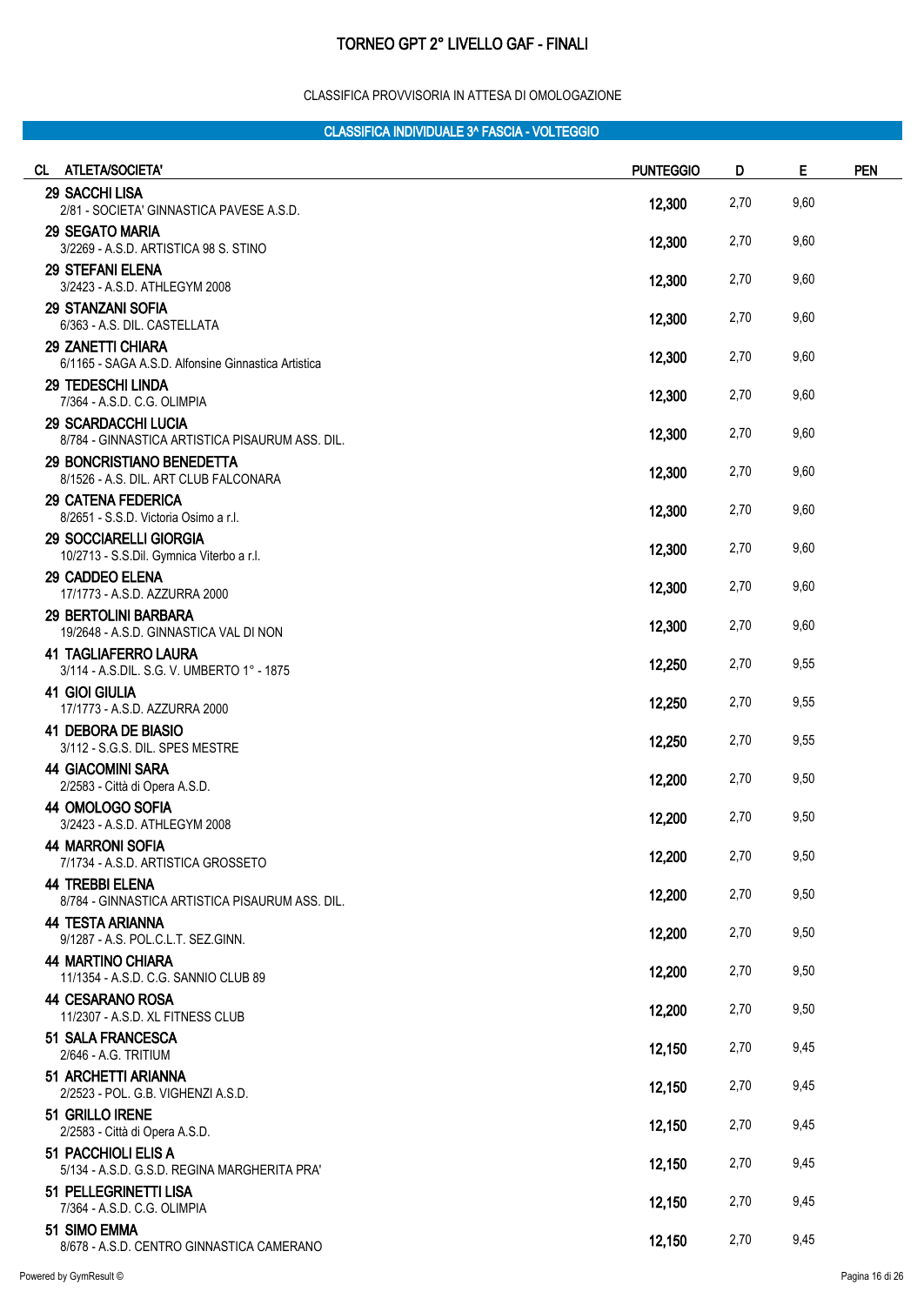#### CLASSIFICA PROVVISORIA IN ATTESA DI OMOLOGAZIONE

| CL ATLETA/SOCIETA'                                                            | <b>PUNTEGGIO</b> | D    | Е    | <b>PEN</b> |
|-------------------------------------------------------------------------------|------------------|------|------|------------|
| <b>29 SACCHI LISA</b><br>2/81 - SOCIETA' GINNASTICA PAVESE A.S.D.             | 12,300           | 2,70 | 9,60 |            |
| <b>29 SEGATO MARIA</b><br>3/2269 - A.S.D. ARTISTICA 98 S. STINO               | 12,300           | 2,70 | 9,60 |            |
| <b>29 STEFANI ELENA</b><br>3/2423 - A.S.D. ATHLEGYM 2008                      | 12,300           | 2,70 | 9,60 |            |
| <b>29 STANZANI SOFIA</b><br>6/363 - A.S. DIL. CASTELLATA                      | 12,300           | 2,70 | 9,60 |            |
| 29 ZANETTI CHIARA<br>6/1165 - SAGA A.S.D. Alfonsine Ginnastica Artistica      | 12,300           | 2,70 | 9,60 |            |
| <b>29 TEDESCHI LINDA</b><br>7/364 - A.S.D. C.G. OLIMPIA                       | 12,300           | 2,70 | 9,60 |            |
| <b>29 SCARDACCHI LUCIA</b><br>8/784 - GINNASTICA ARTISTICA PISAURUM ASS. DIL. | 12,300           | 2,70 | 9,60 |            |
| 29 BONCRISTIANO BENEDETTA<br>8/1526 - A.S. DIL. ART CLUB FALCONARA            | 12,300           | 2,70 | 9,60 |            |
| <b>29 CATENA FEDERICA</b><br>8/2651 - S.S.D. Victoria Osimo a r.l.            | 12,300           | 2,70 | 9,60 |            |
| <b>29 SOCCIARELLI GIORGIA</b><br>10/2713 - S.S.Dil. Gymnica Viterbo a r.l.    | 12,300           | 2,70 | 9,60 |            |
| 29 CADDEO ELENA<br>17/1773 - A.S.D. AZZURRA 2000                              | 12,300           | 2,70 | 9,60 |            |
| <b>29 BERTOLINI BARBARA</b><br>19/2648 - A.S.D. GINNASTICA VAL DI NON         | 12,300           | 2,70 | 9,60 |            |
| <b>41 TAGLIAFERRO LAURA</b><br>3/114 - A.S.DIL. S.G. V. UMBERTO 1° - 1875     | 12,250           | 2,70 | 9,55 |            |
| 41 GIOI GIULIA<br>17/1773 - A.S.D. AZZURRA 2000                               | 12,250           | 2,70 | 9,55 |            |
| <b>41 DEBORA DE BIASIO</b><br>3/112 - S.G.S. DIL. SPES MESTRE                 | 12,250           | 2,70 | 9,55 |            |
| <b>44 GIACOMINI SARA</b><br>2/2583 - Città di Opera A.S.D.                    | 12,200           | 2,70 | 9,50 |            |
| 44 OMOLOGO SOFIA<br>3/2423 - A.S.D. ATHLEGYM 2008                             | 12,200           | 2,70 | 9,50 |            |
| <b>44 MARRONI SOFIA</b><br>7/1734 - A.S.D. ARTISTICA GROSSETO                 | 12,200           | 2,70 | 9,50 |            |
| <b>44 TREBBI ELENA</b><br>8/784 - GINNASTICA ARTISTICA PISAURUM ASS. DIL.     | 12,200           | 2,70 | 9,50 |            |
| <b>44 TESTA ARIANNA</b><br>9/1287 - A.S. POL.C.L.T. SEZ.GINN.                 | 12,200           | 2,70 | 9,50 |            |
| <b>44 MARTINO CHIARA</b><br>11/1354 - A.S.D. C.G. SANNIO CLUB 89              | 12,200           | 2,70 | 9,50 |            |
| 44 CESARANO ROSA<br>11/2307 - A.S.D. XL FITNESS CLUB                          | 12,200           | 2,70 | 9,50 |            |
| 51 SALA FRANCESCA<br>2/646 - A.G. TRITIUM                                     | 12,150           | 2,70 | 9,45 |            |
| 51 ARCHETTI ARIANNA<br>2/2523 - POL. G.B. VIGHENZI A.S.D.                     | 12,150           | 2,70 | 9,45 |            |
| 51 GRILLO IRENE<br>2/2583 - Città di Opera A.S.D.                             | 12,150           | 2,70 | 9,45 |            |
| 51 PACCHIOLI ELIS A<br>5/134 - A.S.D. G.S.D. REGINA MARGHERITA PRA'           | 12,150           | 2,70 | 9,45 |            |
| 51 PELLEGRINETTI LISA<br>7/364 - A.S.D. C.G. OLIMPIA                          | 12,150           | 2,70 | 9,45 |            |
| 51 SIMO EMMA<br>8/678 - A.S.D. CENTRO GINNASTICA CAMERANO                     | 12,150           | 2,70 | 9,45 |            |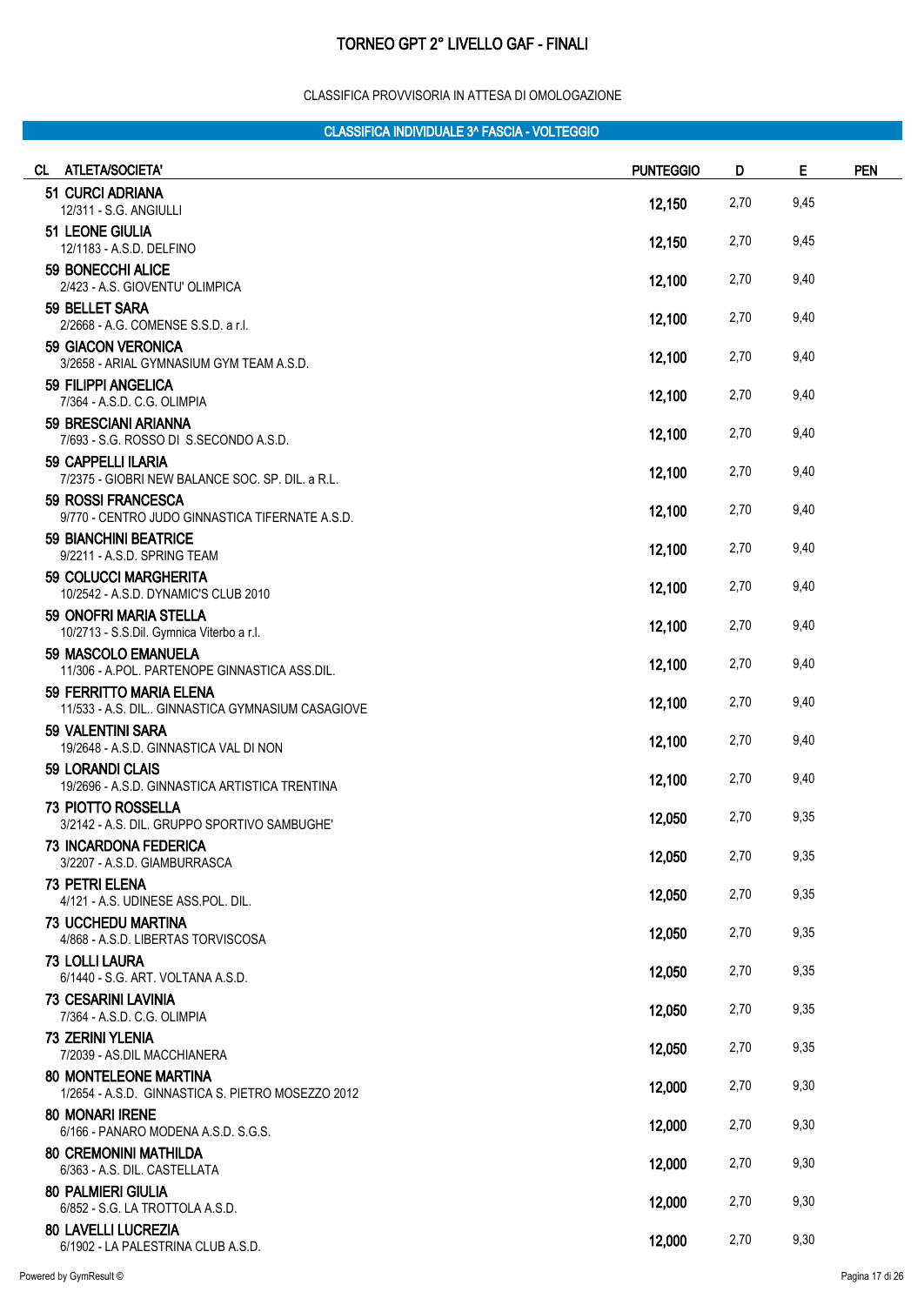#### CLASSIFICA PROVVISORIA IN ATTESA DI OMOLOGAZIONE

| CL ATLETA/SOCIETA'                                                                | <b>PUNTEGGIO</b> | D    | Е    | <b>PEN</b> |
|-----------------------------------------------------------------------------------|------------------|------|------|------------|
| 51 CURCI ADRIANA<br>12/311 - S.G. ANGIULLI                                        | 12,150           | 2,70 | 9,45 |            |
| <b>51 LEONE GIULIA</b>                                                            |                  |      |      |            |
| 12/1183 - A.S.D. DELFINO<br>59 BONECCHI ALICE                                     | 12,150           | 2,70 | 9,45 |            |
| 2/423 - A.S. GIOVENTU' OLIMPICA                                                   | 12,100           | 2,70 | 9,40 |            |
| 59 BELLET SARA<br>2/2668 - A.G. COMENSE S.S.D. a r.l.                             | 12,100           | 2,70 | 9,40 |            |
| <b>59 GIACON VERONICA</b><br>3/2658 - ARIAL GYMNASIUM GYM TEAM A.S.D.             | 12,100           | 2,70 | 9,40 |            |
| 59 FILIPPI ANGELICA<br>7/364 - A.S.D. C.G. OLIMPIA                                | 12,100           | 2,70 | 9,40 |            |
| 59 BRESCIANI ARIANNA<br>7/693 - S.G. ROSSO DI S.SECONDO A.S.D.                    | 12,100           | 2,70 | 9,40 |            |
| 59 CAPPELLI ILARIA<br>7/2375 - GIOBRI NEW BALANCE SOC. SP. DIL. a R.L.            | 12,100           | 2,70 | 9,40 |            |
| 59 ROSSI FRANCESCA<br>9/770 - CENTRO JUDO GINNASTICA TIFERNATE A.S.D.             | 12,100           | 2,70 | 9,40 |            |
| <b>59 BIANCHINI BEATRICE</b><br>9/2211 - A.S.D. SPRING TEAM                       | 12,100           | 2,70 | 9,40 |            |
| <b>59 COLUCCI MARGHERITA</b><br>10/2542 - A.S.D. DYNAMIC'S CLUB 2010              | 12,100           | 2,70 | 9,40 |            |
| 59 ONOFRI MARIA STELLA<br>10/2713 - S.S.Dil. Gymnica Viterbo a r.l.               | 12,100           | 2,70 | 9,40 |            |
| 59 MASCOLO EMANUELA<br>11/306 - A.POL. PARTENOPE GINNASTICA ASS.DIL.              | 12,100           | 2,70 | 9,40 |            |
| 59 FERRITTO MARIA ELENA<br>11/533 - A.S. DIL GINNASTICA GYMNASIUM CASAGIOVE       | 12,100           | 2,70 | 9,40 |            |
| 59 VALENTINI SARA<br>19/2648 - A.S.D. GINNASTICA VAL DI NON                       | 12,100           | 2,70 | 9,40 |            |
| <b>59 LORANDI CLAIS</b><br>19/2696 - A.S.D. GINNASTICA ARTISTICA TRENTINA         | 12,100           | 2,70 | 9,40 |            |
| <b>73 PIOTTO ROSSELLA</b><br>3/2142 - A.S. DIL. GRUPPO SPORTIVO SAMBUGHE'         | 12,050           | 2,70 | 9,35 |            |
| 73 INCARDONA FEDERICA<br>3/2207 - A.S.D. GIAMBURRASCA                             | 12,050           | 2,70 | 9,35 |            |
| <b>73 PETRI ELENA</b><br>4/121 - A.S. UDINESE ASS.POL. DIL.                       | 12,050           | 2,70 | 9,35 |            |
| <b>73 UCCHEDU MARTINA</b><br>4/868 - A.S.D. LIBERTAS TORVISCOSA                   | 12,050           | 2,70 | 9,35 |            |
| <b>73 LOLLI LAURA</b><br>6/1440 - S.G. ART. VOLTANA A.S.D.                        | 12,050           | 2,70 | 9,35 |            |
| <b>73 CESARINI LAVINIA</b><br>7/364 - A.S.D. C.G. OLIMPIA                         | 12,050           | 2,70 | 9,35 |            |
| <b>73 ZERINI YLENIA</b><br>7/2039 - AS.DIL MACCHIANERA                            | 12,050           | 2,70 | 9,35 |            |
| <b>80 MONTELEONE MARTINA</b><br>1/2654 - A.S.D. GINNASTICA S. PIETRO MOSEZZO 2012 | 12,000           | 2,70 | 9,30 |            |
| <b>80 MONARI IRENE</b><br>6/166 - PANARO MODENA A.S.D. S.G.S.                     | 12,000           | 2,70 | 9,30 |            |
| <b>80 CREMONINI MATHILDA</b><br>6/363 - A.S. DIL. CASTELLATA                      | 12,000           | 2,70 | 9,30 |            |
| <b>80 PALMIERI GIULIA</b><br>6/852 - S.G. LA TROTTOLA A.S.D.                      | 12,000           | 2,70 | 9,30 |            |
| <b>80 LAVELLI LUCREZIA</b><br>6/1902 - LA PALESTRINA CLUB A.S.D.                  | 12,000           | 2,70 | 9,30 |            |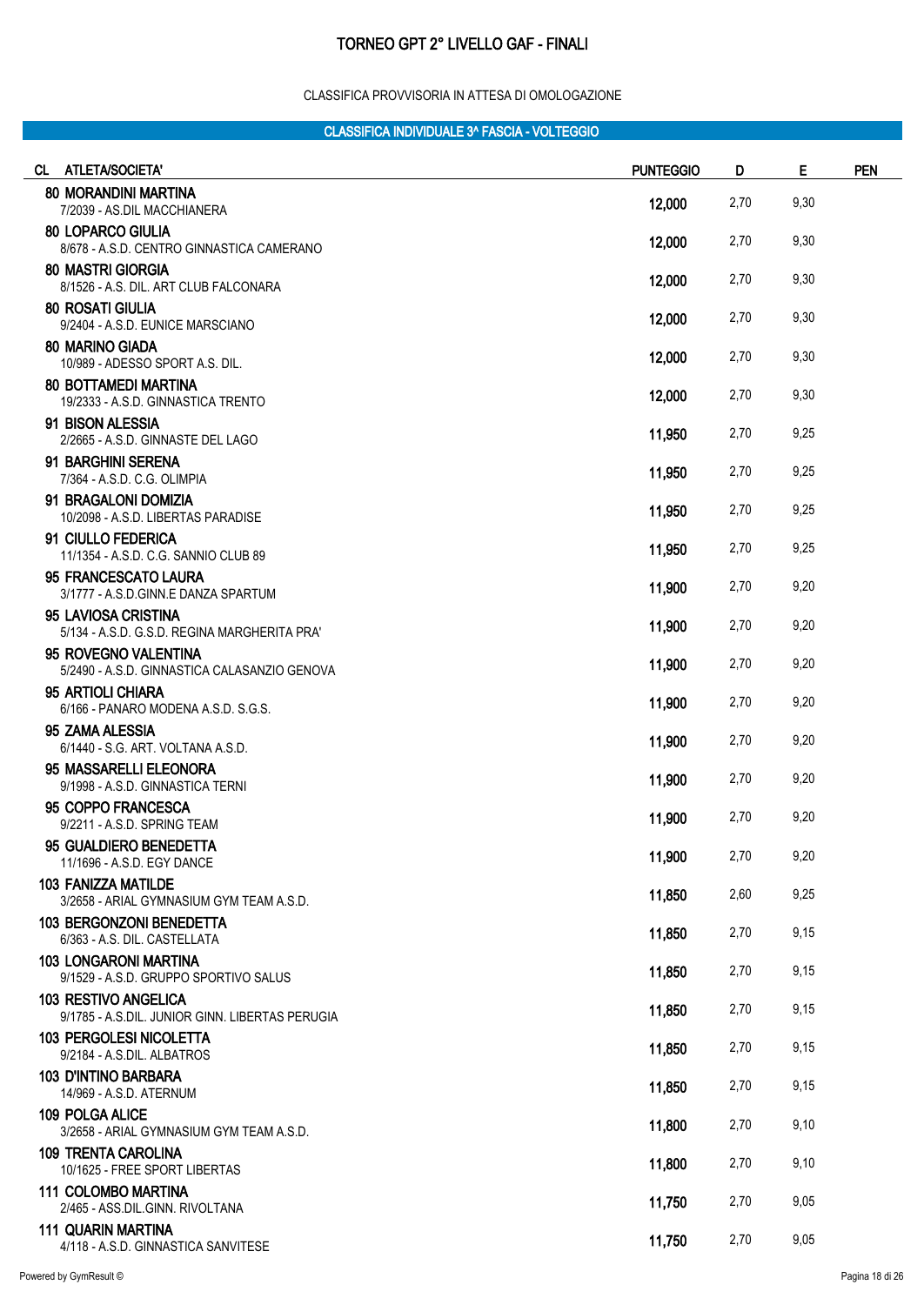#### CLASSIFICA PROVVISORIA IN ATTESA DI OMOLOGAZIONE

| CL ATLETA/SOCIETA'                                                             | <b>PUNTEGGIO</b> | D    | Е    | <b>PEN</b> |
|--------------------------------------------------------------------------------|------------------|------|------|------------|
| <b>80 MORANDINI MARTINA</b><br>7/2039 - AS.DIL MACCHIANERA                     | 12,000           | 2,70 | 9,30 |            |
| <b>80 LOPARCO GIULIA</b><br>8/678 - A.S.D. CENTRO GINNASTICA CAMERANO          | 12,000           | 2,70 | 9,30 |            |
| <b>80 MASTRI GIORGIA</b><br>8/1526 - A.S. DIL. ART CLUB FALCONARA              | 12,000           | 2,70 | 9,30 |            |
| <b>80 ROSATI GIULIA</b><br>9/2404 - A.S.D. EUNICE MARSCIANO                    | 12,000           | 2,70 | 9,30 |            |
| <b>80 MARINO GIADA</b><br>10/989 - ADESSO SPORT A.S. DIL.                      | 12,000           | 2,70 | 9,30 |            |
| <b>80 BOTTAMEDI MARTINA</b><br>19/2333 - A.S.D. GINNASTICA TRENTO              | 12,000           | 2,70 | 9,30 |            |
| 91 BISON ALESSIA<br>2/2665 - A.S.D. GINNASTE DEL LAGO                          | 11,950           | 2,70 | 9,25 |            |
| 91 BARGHINI SERENA<br>7/364 - A.S.D. C.G. OLIMPIA                              | 11,950           | 2,70 | 9,25 |            |
| 91 BRAGALONI DOMIZIA<br>10/2098 - A.S.D. LIBERTAS PARADISE                     | 11,950           | 2,70 | 9,25 |            |
| 91 CIULLO FEDERICA<br>11/1354 - A.S.D. C.G. SANNIO CLUB 89                     | 11,950           | 2,70 | 9,25 |            |
| 95 FRANCESCATO LAURA<br>3/1777 - A.S.D.GINN.E DANZA SPARTUM                    | 11,900           | 2,70 | 9,20 |            |
| 95 LAVIOSA CRISTINA<br>5/134 - A.S.D. G.S.D. REGINA MARGHERITA PRA'            | 11,900           | 2,70 | 9,20 |            |
| 95 ROVEGNO VALENTINA<br>5/2490 - A.S.D. GINNASTICA CALASANZIO GENOVA           | 11,900           | 2,70 | 9,20 |            |
| 95 ARTIOLI CHIARA<br>6/166 - PANARO MODENA A.S.D. S.G.S.                       | 11,900           | 2,70 | 9,20 |            |
| 95 ZAMA ALESSIA<br>6/1440 - S.G. ART. VOLTANA A.S.D.                           | 11,900           | 2,70 | 9,20 |            |
| 95 MASSARELLI ELEONORA<br>9/1998 - A.S.D. GINNASTICA TERNI                     | 11,900           | 2,70 | 9,20 |            |
| 95 COPPO FRANCESCA<br>9/2211 - A.S.D. SPRING TEAM                              | 11,900           | 2,70 | 9,20 |            |
| 95 GUALDIERO BENEDETTA<br>11/1696 - A.S.D. EGY DANCE                           | 11,900           | 2,70 | 9,20 |            |
| 103 FANIZZA MATILDE<br>3/2658 - ARIAL GYMNASIUM GYM TEAM A.S.D.                | 11,850           | 2,60 | 9,25 |            |
| 103 BERGONZONI BENEDETTA<br>6/363 - A.S. DIL. CASTELLATA                       | 11,850           | 2,70 | 9,15 |            |
| <b>103 LONGARONI MARTINA</b><br>9/1529 - A.S.D. GRUPPO SPORTIVO SALUS          | 11,850           | 2,70 | 9,15 |            |
| <b>103 RESTIVO ANGELICA</b><br>9/1785 - A.S.DIL. JUNIOR GINN, LIBERTAS PERUGIA | 11,850           | 2,70 | 9,15 |            |
| <b>103 PERGOLESI NICOLETTA</b><br>9/2184 - A.S.DIL. ALBATROS                   | 11,850           | 2,70 | 9,15 |            |
| <b>103 D'INTINO BARBARA</b><br>14/969 - A.S.D. ATERNUM                         | 11,850           | 2,70 | 9,15 |            |
| 109 POLGA ALICE<br>3/2658 - ARIAL GYMNASIUM GYM TEAM A.S.D.                    | 11,800           | 2,70 | 9,10 |            |
| <b>109 TRENTA CAROLINA</b><br>10/1625 - FREE SPORT LIBERTAS                    | 11,800           | 2,70 | 9,10 |            |
| <b>111 COLOMBO MARTINA</b><br>2/465 - ASS.DIL.GINN. RIVOLTANA                  | 11,750           | 2,70 | 9,05 |            |
| <b>111 QUARIN MARTINA</b><br>4/118 - A.S.D. GINNASTICA SANVITESE               | 11,750           | 2,70 | 9,05 |            |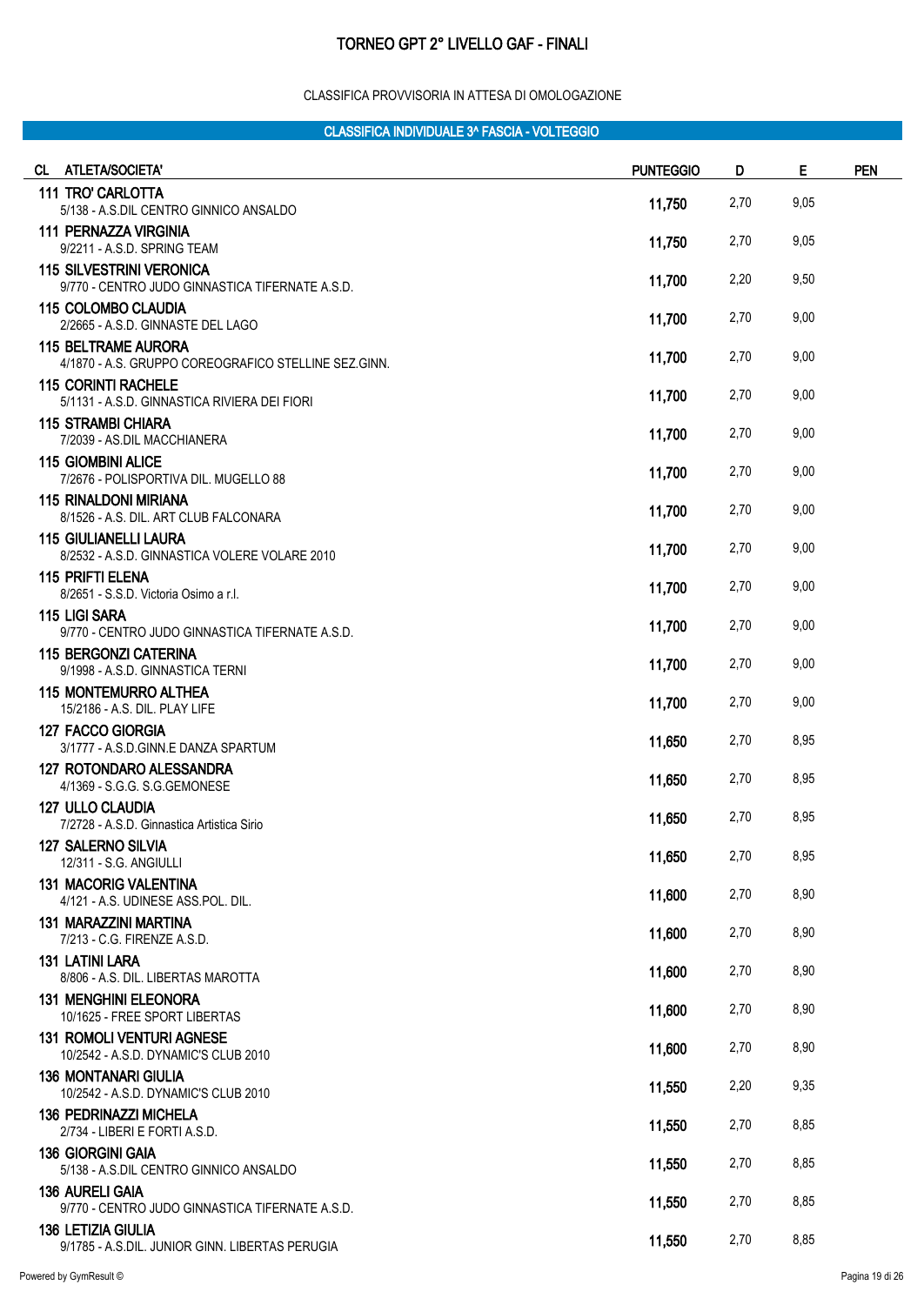#### CLASSIFICA PROVVISORIA IN ATTESA DI OMOLOGAZIONE

| CL ATLETA/SOCIETA'                                                                 | <b>PUNTEGGIO</b> | D    | E    | <b>PEN</b> |
|------------------------------------------------------------------------------------|------------------|------|------|------------|
| 111 TRO' CARLOTTA<br>5/138 - A.S.DIL CENTRO GINNICO ANSALDO                        | 11,750           | 2,70 | 9,05 |            |
| <b>111 PERNAZZA VIRGINIA</b><br>9/2211 - A.S.D. SPRING TEAM                        | 11,750           | 2,70 | 9,05 |            |
| <b>115 SILVESTRINI VERONICA</b><br>9/770 - CENTRO JUDO GINNASTICA TIFERNATE A.S.D. | 11,700           | 2,20 | 9,50 |            |
| <b>115 COLOMBO CLAUDIA</b><br>2/2665 - A.S.D. GINNASTE DEL LAGO                    | 11,700           | 2,70 | 9,00 |            |
| <b>115 BELTRAME AURORA</b><br>4/1870 - A.S. GRUPPO COREOGRAFICO STELLINE SEZ.GINN. | 11,700           | 2,70 | 9,00 |            |
| <b>115 CORINTI RACHELE</b><br>5/1131 - A.S.D. GINNASTICA RIVIERA DEI FIORI         | 11,700           | 2,70 | 9,00 |            |
| <b>115 STRAMBI CHIARA</b><br>7/2039 - AS.DIL MACCHIANERA                           | 11,700           | 2,70 | 9,00 |            |
| <b>115 GIOMBINI ALICE</b><br>7/2676 - POLISPORTIVA DIL. MUGELLO 88                 | 11,700           | 2,70 | 9,00 |            |
| 115 RINALDONI MIRIANA<br>8/1526 - A.S. DIL. ART CLUB FALCONARA                     | 11,700           | 2,70 | 9,00 |            |
| <b>115 GIULIANELLI LAURA</b><br>8/2532 - A.S.D. GINNASTICA VOLERE VOLARE 2010      | 11,700           | 2,70 | 9,00 |            |
| <b>115 PRIFTI ELENA</b><br>8/2651 - S.S.D. Victoria Osimo a r.l.                   | 11,700           | 2,70 | 9,00 |            |
| 115 LIGI SARA<br>9/770 - CENTRO JUDO GINNASTICA TIFERNATE A.S.D.                   | 11,700           | 2,70 | 9,00 |            |
| <b>115 BERGONZI CATERINA</b><br>9/1998 - A.S.D. GINNASTICA TERNI                   | 11,700           | 2,70 | 9,00 |            |
| <b>115 MONTEMURRO ALTHEA</b><br>15/2186 - A.S. DIL. PLAY LIFE                      | 11,700           | 2,70 | 9,00 |            |
| <b>127 FACCO GIORGIA</b><br>3/1777 - A.S.D.GINN.E DANZA SPARTUM                    | 11,650           | 2,70 | 8,95 |            |
| <b>127 ROTONDARO ALESSANDRA</b><br>4/1369 - S.G.G. S.G.GEMONESE                    | 11,650           | 2,70 | 8,95 |            |
| 127 ULLO CLAUDIA<br>7/2728 - A.S.D. Ginnastica Artistica Sirio                     | 11,650           | 2,70 | 8,95 |            |
| <b>127 SALERNO SILVIA</b><br>12/311 - S.G. ANGIULLI                                | 11,650           | 2,70 | 8,95 |            |
| <b>131 MACORIG VALENTINA</b><br>4/121 - A.S. UDINESE ASS.POL. DIL.                 | 11,600           | 2,70 | 8,90 |            |
| <b>131 MARAZZINI MARTINA</b><br>7/213 - C.G. FIRENZE A.S.D.                        | 11,600           | 2,70 | 8,90 |            |
| <b>131 LATINI LARA</b><br>8/806 - A.S. DIL. LIBERTAS MAROTTA                       | 11,600           | 2,70 | 8,90 |            |
| <b>131 MENGHINI ELEONORA</b><br>10/1625 - FREE SPORT LIBERTAS                      | 11,600           | 2,70 | 8,90 |            |
| <b>131 ROMOLI VENTURI AGNESE</b><br>10/2542 - A.S.D. DYNAMIC'S CLUB 2010           | 11,600           | 2,70 | 8,90 |            |
| <b>136 MONTANARI GIULIA</b><br>10/2542 - A.S.D. DYNAMIC'S CLUB 2010                | 11,550           | 2,20 | 9,35 |            |
| <b>136 PEDRINAZZI MICHELA</b><br>2/734 - LIBERI E FORTI A.S.D.                     | 11,550           | 2,70 | 8,85 |            |
| <b>136 GIORGINI GAIA</b><br>5/138 - A.S.DIL CENTRO GINNICO ANSALDO                 | 11,550           | 2,70 | 8,85 |            |
| <b>136 AURELI GAIA</b><br>9/770 - CENTRO JUDO GINNASTICA TIFERNATE A.S.D.          | 11,550           | 2,70 | 8,85 |            |
| <b>136 LETIZIA GIULIA</b><br>9/1785 - A.S.DIL. JUNIOR GINN. LIBERTAS PERUGIA       | 11,550           | 2,70 | 8,85 |            |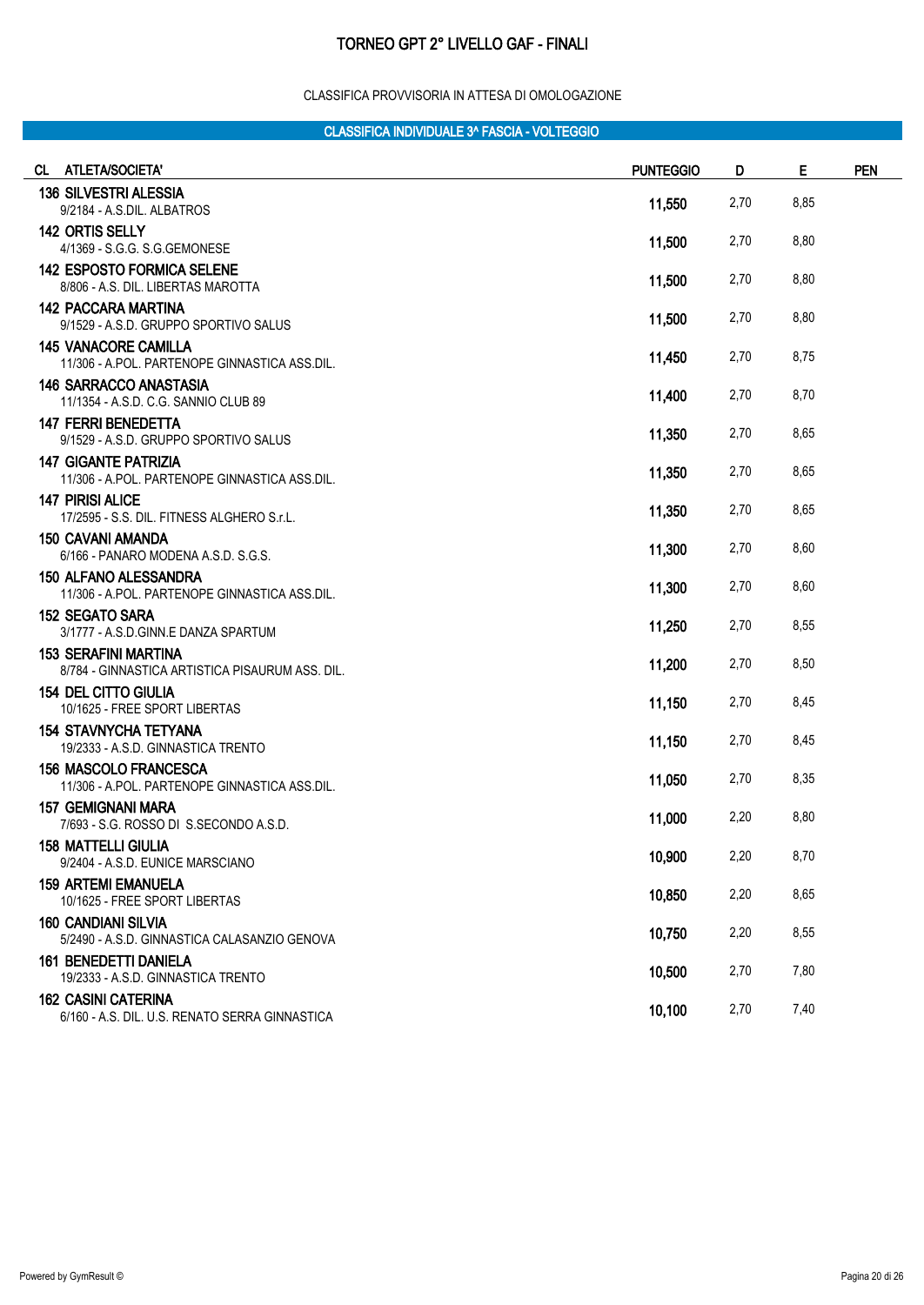#### CLASSIFICA PROVVISORIA IN ATTESA DI OMOLOGAZIONE

| CL ATLETA/SOCIETA'                                                            | <b>PUNTEGGIO</b> | D    | E    | <b>PEN</b> |
|-------------------------------------------------------------------------------|------------------|------|------|------------|
| <b>136 SILVESTRI ALESSIA</b><br>9/2184 - A.S.DIL. ALBATROS                    | 11,550           | 2,70 | 8,85 |            |
| 142 ORTIS SELLY<br>4/1369 - S.G.G. S.G.GEMONESE                               | 11,500           | 2,70 | 8,80 |            |
| <b>142 ESPOSTO FORMICA SELENE</b><br>8/806 - A.S. DIL. LIBERTAS MAROTTA       | 11,500           | 2,70 | 8,80 |            |
| <b>142 PACCARA MARTINA</b><br>9/1529 - A.S.D. GRUPPO SPORTIVO SALUS           | 11,500           | 2,70 | 8,80 |            |
| <b>145 VANACORE CAMILLA</b><br>11/306 - A.POL. PARTENOPE GINNASTICA ASS.DIL.  | 11,450           | 2,70 | 8,75 |            |
| <b>146 SARRACCO ANASTASIA</b><br>11/1354 - A.S.D. C.G. SANNIO CLUB 89         | 11,400           | 2,70 | 8,70 |            |
| <b>147 FERRI BENEDETTA</b><br>9/1529 - A.S.D. GRUPPO SPORTIVO SALUS           | 11,350           | 2,70 | 8,65 |            |
| <b>147 GIGANTE PATRIZIA</b><br>11/306 - A.POL. PARTENOPE GINNASTICA ASS.DIL.  | 11,350           | 2,70 | 8,65 |            |
| <b>147 PIRISI ALICE</b><br>17/2595 - S.S. DIL. FITNESS ALGHERO S.r.L.         | 11,350           | 2,70 | 8,65 |            |
| <b>150 CAVANI AMANDA</b><br>6/166 - PANARO MODENA A.S.D. S.G.S.               | 11,300           | 2,70 | 8,60 |            |
| <b>150 ALFANO ALESSANDRA</b><br>11/306 - A.POL. PARTENOPE GINNASTICA ASS.DIL. | 11,300           | 2,70 | 8,60 |            |
| <b>152 SEGATO SARA</b><br>3/1777 - A.S.D.GINN.E DANZA SPARTUM                 | 11,250           | 2,70 | 8,55 |            |
| 153 SERAFINI MARTINA<br>8/784 - GINNASTICA ARTISTICA PISAURUM ASS. DIL.       | 11,200           | 2,70 | 8,50 |            |
| <b>154 DEL CITTO GIULIA</b><br>10/1625 - FREE SPORT LIBERTAS                  | 11,150           | 2,70 | 8,45 |            |
| <b>154 STAVNYCHA TETYANA</b><br>19/2333 - A.S.D. GINNASTICA TRENTO            | 11,150           | 2,70 | 8,45 |            |
| 156 MASCOLO FRANCESCA<br>11/306 - A.POL. PARTENOPE GINNASTICA ASS.DIL.        | 11,050           | 2,70 | 8,35 |            |
| <b>157 GEMIGNANI MARA</b><br>7/693 - S.G. ROSSO DI S.SECONDO A.S.D.           | 11,000           | 2,20 | 8,80 |            |
| <b>158 MATTELLI GIULIA</b><br>9/2404 - A.S.D. EUNICE MARSCIANO                | 10,900           | 2,20 | 8,70 |            |
| <b>159 ARTEMI EMANUELA</b><br>10/1625 - FREE SPORT LIBERTAS                   | 10,850           | 2,20 | 8,65 |            |
| <b>160 CANDIANI SILVIA</b><br>5/2490 - A.S.D. GINNASTICA CALASANZIO GENOVA    | 10,750           | 2,20 | 8,55 |            |
| <b>161 BENEDETTI DANIELA</b><br>19/2333 - A.S.D. GINNASTICA TRENTO            | 10,500           | 2,70 | 7,80 |            |
| <b>162 CASINI CATERINA</b><br>6/160 - A.S. DIL. U.S. RENATO SERRA GINNASTICA  | 10,100           | 2,70 | 7,40 |            |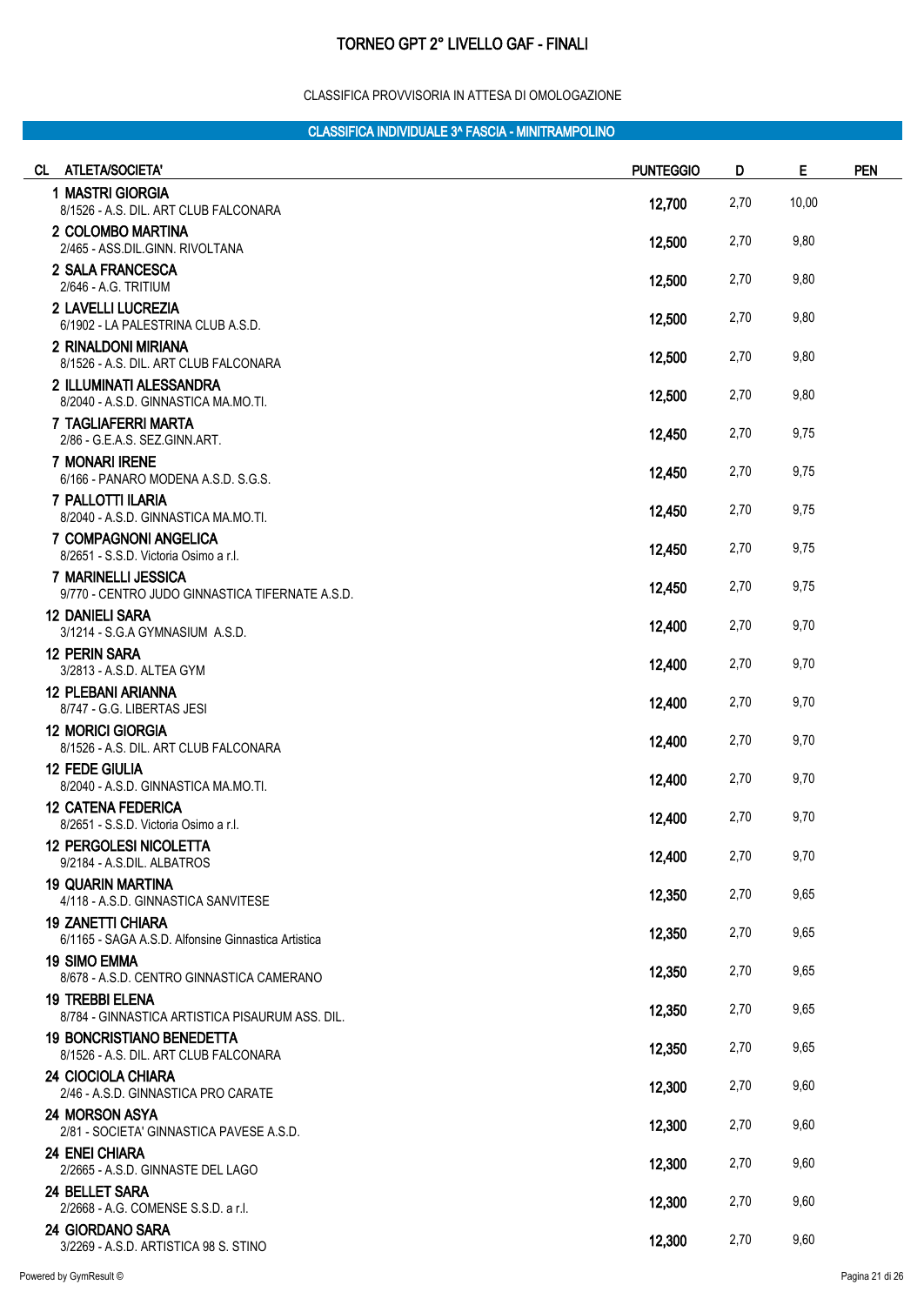#### CLASSIFICA PROVVISORIA IN ATTESA DI OMOLOGAZIONE

| CL.<br>ATLETA/SOCIETA'                                                          | <b>PUNTEGGIO</b> | D    | E     | <b>PEN</b> |
|---------------------------------------------------------------------------------|------------------|------|-------|------------|
| 1 MASTRI GIORGIA<br>8/1526 - A.S. DIL. ART CLUB FALCONARA                       | 12,700           | 2,70 | 10,00 |            |
| 2 COLOMBO MARTINA<br>2/465 - ASS.DIL.GINN. RIVOLTANA                            | 12,500           | 2,70 | 9,80  |            |
| 2 SALA FRANCESCA<br>2/646 - A.G. TRITIUM                                        | 12,500           | 2,70 | 9,80  |            |
| 2 LAVELLI LUCREZIA<br>6/1902 - LA PALESTRINA CLUB A.S.D.                        | 12,500           | 2,70 | 9,80  |            |
| 2 RINALDONI MIRIANA<br>8/1526 - A.S. DIL. ART CLUB FALCONARA                    | 12,500           | 2,70 | 9,80  |            |
| 2 ILLUMINATI ALESSANDRA<br>8/2040 - A.S.D. GINNASTICA MA.MO.TI.                 | 12,500           | 2,70 | 9,80  |            |
| 7 TAGLIAFERRI MARTA<br>2/86 - G.E.A.S. SEZ.GINN.ART.                            | 12,450           | 2,70 | 9,75  |            |
| <b>7 MONARI IRENE</b><br>6/166 - PANARO MODENA A.S.D. S.G.S.                    | 12,450           | 2,70 | 9,75  |            |
| 7 PALLOTTI ILARIA<br>8/2040 - A.S.D. GINNASTICA MA.MO.TI.                       | 12,450           | 2,70 | 9,75  |            |
| <b>7 COMPAGNONI ANGELICA</b><br>8/2651 - S.S.D. Victoria Osimo a r.l.           | 12,450           | 2,70 | 9,75  |            |
| 7 MARINELLI JESSICA<br>9/770 - CENTRO JUDO GINNASTICA TIFERNATE A.S.D.          | 12,450           | 2,70 | 9,75  |            |
| <b>12 DANIELI SARA</b><br>3/1214 - S.G.A GYMNASIUM A.S.D.                       | 12,400           | 2,70 | 9,70  |            |
| <b>12 PERIN SARA</b><br>3/2813 - A.S.D. ALTEA GYM                               | 12,400           | 2,70 | 9,70  |            |
| <b>12 PLEBANI ARIANNA</b><br>8/747 - G.G. LIBERTAS JESI                         | 12,400           | 2,70 | 9,70  |            |
| <b>12 MORICI GIORGIA</b><br>8/1526 - A.S. DIL. ART CLUB FALCONARA               | 12,400           | 2,70 | 9,70  |            |
| <b>12 FEDE GIULIA</b><br>8/2040 - A.S.D. GINNASTICA MA.MO.TI.                   | 12,400           | 2,70 | 9,70  |            |
| <b>12 CATENA FEDERICA</b><br>8/2651 - S.S.D. Victoria Osimo a r.l.              | 12,400           | 2,70 | 9,70  |            |
| <b>12 PERGOLESI NICOLETTA</b><br>9/2184 - A.S.DIL. ALBATROS                     | 12,400           | 2,70 | 9,70  |            |
| <b>19 QUARIN MARTINA</b><br>4/118 - A.S.D. GINNASTICA SANVITESE                 | 12,350           | 2,70 | 9,65  |            |
| <b>19 ZANETTI CHIARA</b><br>6/1165 - SAGA A.S.D. Alfonsine Ginnastica Artistica | 12,350           | 2,70 | 9,65  |            |
| <b>19 SIMO EMMA</b><br>8/678 - A.S.D. CENTRO GINNASTICA CAMERANO                | 12,350           | 2,70 | 9,65  |            |
| <b>19 TREBBI ELENA</b><br>8/784 - GINNASTICA ARTISTICA PISAURUM ASS. DIL.       | 12,350           | 2,70 | 9,65  |            |
| <b>19 BONCRISTIANO BENEDETTA</b><br>8/1526 - A.S. DIL. ART CLUB FALCONARA       | 12,350           | 2,70 | 9,65  |            |
| 24 CIOCIOLA CHIARA<br>2/46 - A.S.D. GINNASTICA PRO CARATE                       | 12,300           | 2,70 | 9,60  |            |
| 24 MORSON ASYA<br>2/81 - SOCIETA' GINNASTICA PAVESE A.S.D.                      | 12,300           | 2,70 | 9,60  |            |
| <b>24 ENEI CHIARA</b><br>2/2665 - A.S.D. GINNASTE DEL LAGO                      | 12,300           | 2,70 | 9,60  |            |
| 24 BELLET SARA<br>2/2668 - A.G. COMENSE S.S.D. a r.l.                           | 12,300           | 2,70 | 9,60  |            |
| 24 GIORDANO SARA<br>3/2269 - A.S.D. ARTISTICA 98 S. STINO                       | 12,300           | 2,70 | 9,60  |            |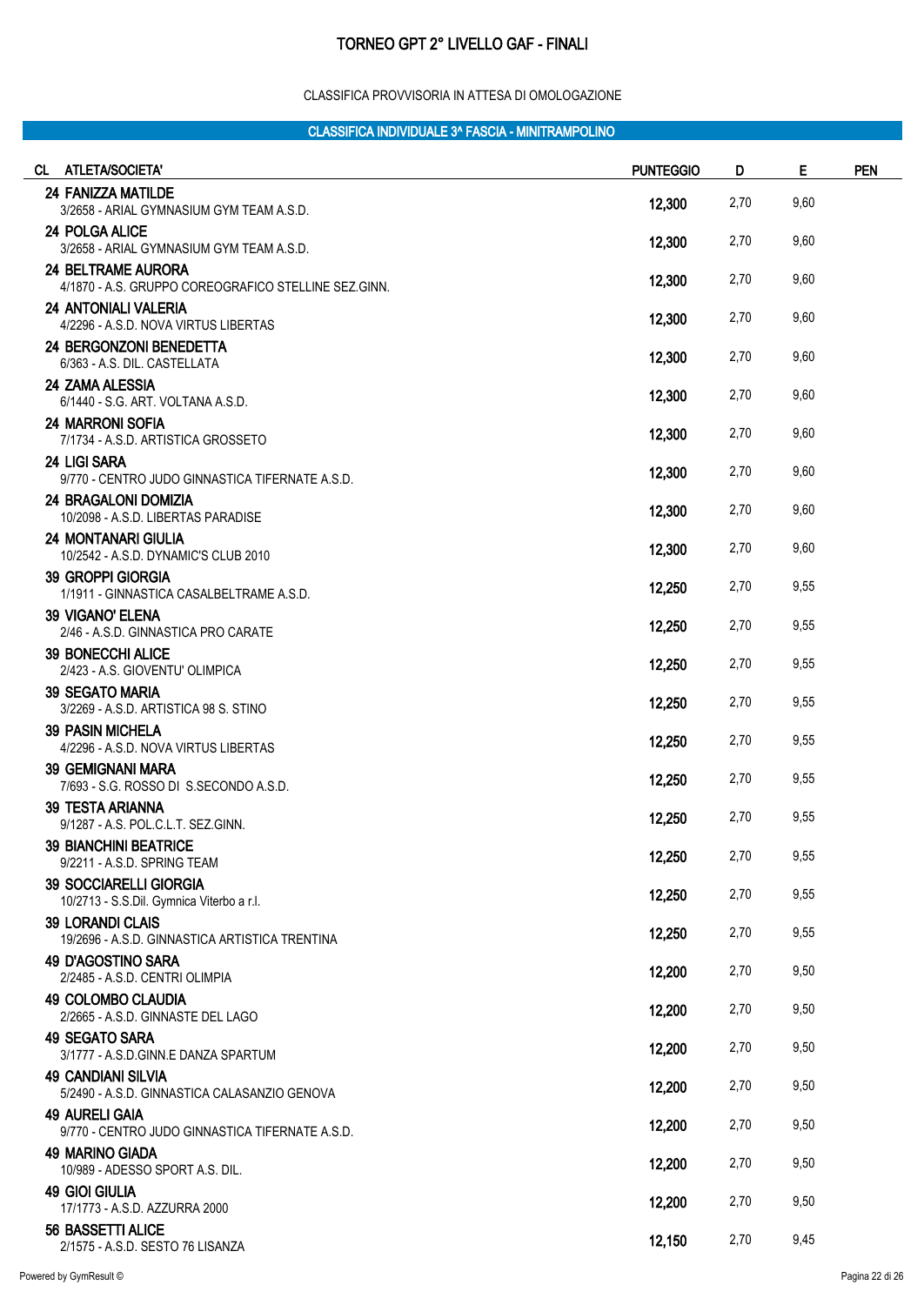#### CLASSIFICA PROVVISORIA IN ATTESA DI OMOLOGAZIONE

| CL ATLETA/SOCIETA'                                                                | <b>PUNTEGGIO</b> | D    | Е    | <b>PEN</b> |
|-----------------------------------------------------------------------------------|------------------|------|------|------------|
| <b>24 FANIZZA MATILDE</b><br>3/2658 - ARIAL GYMNASIUM GYM TEAM A.S.D.             | 12,300           | 2,70 | 9,60 |            |
| <b>24 POLGA ALICE</b><br>3/2658 - ARIAL GYMNASIUM GYM TEAM A.S.D.                 | 12,300           | 2,70 | 9,60 |            |
| <b>24 BELTRAME AURORA</b><br>4/1870 - A.S. GRUPPO COREOGRAFICO STELLINE SEZ.GINN. | 12,300           | 2,70 | 9,60 |            |
| <b>24 ANTONIALI VALERIA</b><br>4/2296 - A.S.D. NOVA VIRTUS LIBERTAS               | 12,300           | 2,70 | 9,60 |            |
| 24 BERGONZONI BENEDETTA<br>6/363 - A.S. DIL. CASTELLATA                           | 12,300           | 2,70 | 9,60 |            |
| 24 ZAMA ALESSIA<br>6/1440 - S.G. ART. VOLTANA A.S.D.                              | 12,300           | 2,70 | 9,60 |            |
| <b>24 MARRONI SOFIA</b><br>7/1734 - A.S.D. ARTISTICA GROSSETO                     | 12,300           | 2,70 | 9,60 |            |
| <b>24 LIGI SARA</b><br>9/770 - CENTRO JUDO GINNASTICA TIFERNATE A.S.D.            | 12,300           | 2,70 | 9,60 |            |
| 24 BRAGALONI DOMIZIA<br>10/2098 - A.S.D. LIBERTAS PARADISE                        | 12,300           | 2,70 | 9,60 |            |
| <b>24 MONTANARI GIULIA</b><br>10/2542 - A.S.D. DYNAMIC'S CLUB 2010                | 12,300           | 2,70 | 9,60 |            |
| 39 GROPPI GIORGIA<br>1/1911 - GINNASTICA CASALBELTRAME A.S.D.                     | 12,250           | 2,70 | 9,55 |            |
| <b>39 VIGANO' ELENA</b><br>2/46 - A.S.D. GINNASTICA PRO CARATE                    | 12,250           | 2,70 | 9,55 |            |
| <b>39 BONECCHI ALICE</b><br>2/423 - A.S. GIOVENTU' OLIMPICA                       | 12,250           | 2,70 | 9,55 |            |
| <b>39 SEGATO MARIA</b><br>3/2269 - A.S.D. ARTISTICA 98 S. STINO                   | 12,250           | 2,70 | 9,55 |            |
| <b>39 PASIN MICHELA</b><br>4/2296 - A.S.D. NOVA VIRTUS LIBERTAS                   | 12,250           | 2,70 | 9,55 |            |
| <b>39 GEMIGNANI MARA</b><br>7/693 - S.G. ROSSO DI S.SECONDO A.S.D.                | 12,250           | 2,70 | 9,55 |            |
| <b>39 TESTA ARIANNA</b><br>9/1287 - A.S. POL.C.L.T. SEZ.GINN.                     | 12,250           | 2,70 | 9,55 |            |
| 39 BIANCHINI BEATRICE<br>9/2211 - A.S.D. SPRING TEAM                              | 12,250           | 2,70 | 9,55 |            |
| <b>39 SOCCIARELLI GIORGIA</b><br>10/2713 - S.S.Dil. Gymnica Viterbo a r.l.        | 12,250           | 2,70 | 9,55 |            |
| <b>39 LORANDI CLAIS</b><br>19/2696 - A.S.D. GINNASTICA ARTISTICA TRENTINA         | 12,250           | 2,70 | 9,55 |            |
| 49 D'AGOSTINO SARA<br>2/2485 - A.S.D. CENTRI OLIMPIA                              | 12,200           | 2,70 | 9,50 |            |
| <b>49 COLOMBO CLAUDIA</b><br>2/2665 - A.S.D. GINNASTE DEL LAGO                    | 12,200           | 2,70 | 9,50 |            |
| 49 SEGATO SARA<br>3/1777 - A.S.D.GINN.E DANZA SPARTUM                             | 12,200           | 2,70 | 9,50 |            |
| <b>49 CANDIANI SILVIA</b><br>5/2490 - A.S.D. GINNASTICA CALASANZIO GENOVA         | 12,200           | 2,70 | 9,50 |            |
| <b>49 AURELI GAIA</b><br>9/770 - CENTRO JUDO GINNASTICA TIFERNATE A.S.D.          | 12,200           | 2,70 | 9,50 |            |
| <b>49 MARINO GIADA</b><br>10/989 - ADESSO SPORT A.S. DIL.                         | 12,200           | 2,70 | 9,50 |            |
| <b>49 GIOI GIULIA</b><br>17/1773 - A.S.D. AZZURRA 2000                            | 12,200           | 2,70 | 9,50 |            |
| 56 BASSETTI ALICE<br>2/1575 - A.S.D. SESTO 76 LISANZA                             | 12,150           | 2,70 | 9,45 |            |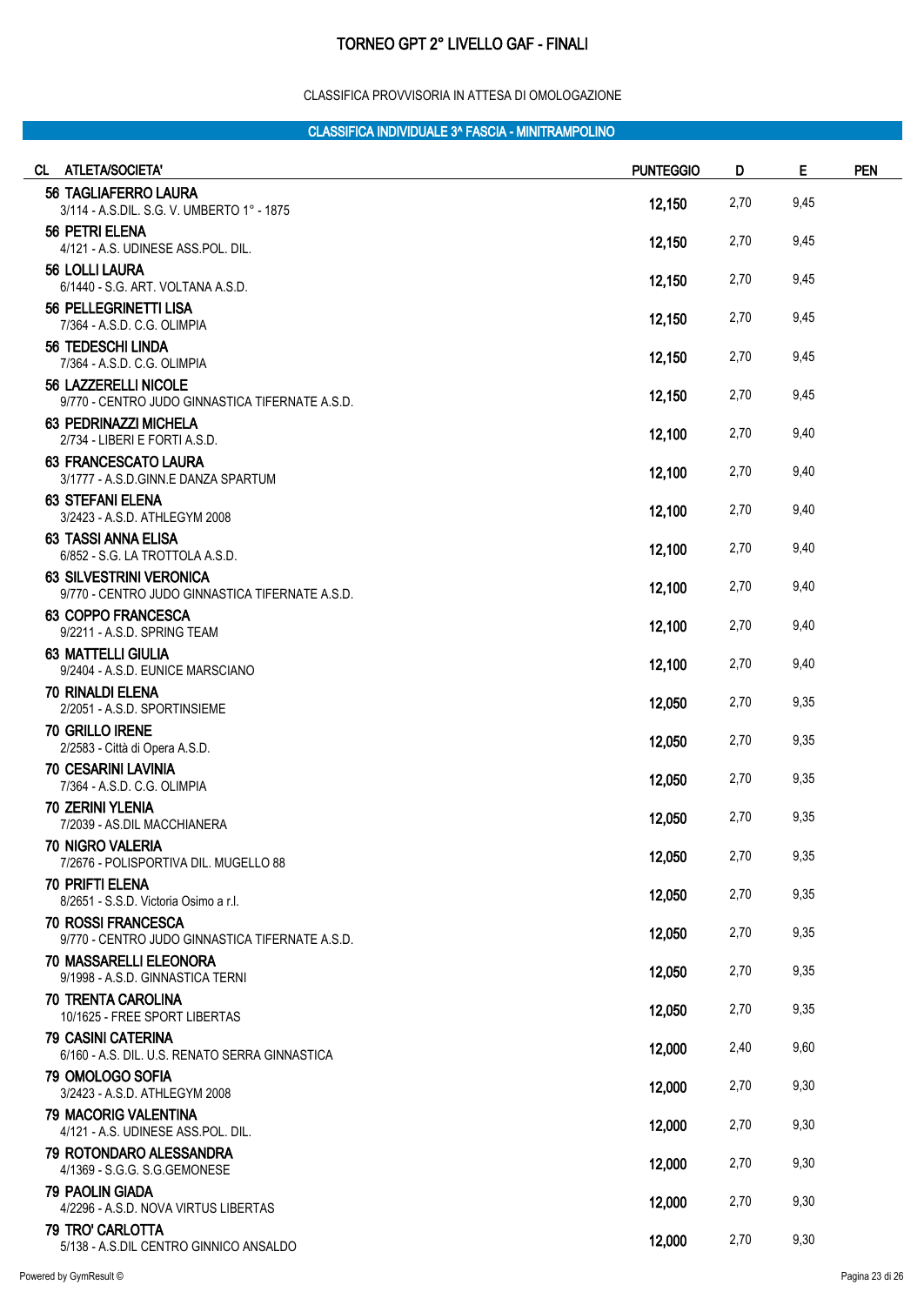#### CLASSIFICA PROVVISORIA IN ATTESA DI OMOLOGAZIONE

| <b>ATLETA/SOCIETA'</b><br>CL.                                                     | <b>PUNTEGGIO</b> | D    | E    | <b>PEN</b> |
|-----------------------------------------------------------------------------------|------------------|------|------|------------|
| <b>56 TAGLIAFERRO LAURA</b><br>3/114 - A.S.DIL. S.G. V. UMBERTO 1° - 1875         | 12,150           | 2,70 | 9,45 |            |
| 56 PETRI ELENA<br>4/121 - A.S. UDINESE ASS.POL. DIL.                              | 12,150           | 2,70 | 9,45 |            |
| 56 LOLLI LAURA<br>6/1440 - S.G. ART. VOLTANA A.S.D.                               | 12,150           | 2,70 | 9,45 |            |
| 56 PELLEGRINETTI LISA<br>7/364 - A.S.D. C.G. OLIMPIA                              | 12,150           | 2,70 | 9,45 |            |
| <b>56 TEDESCHI LINDA</b><br>7/364 - A.S.D. C.G. OLIMPIA                           | 12,150           | 2,70 | 9,45 |            |
| 56 LAZZERELLI NICOLE<br>9/770 - CENTRO JUDO GINNASTICA TIFERNATE A.S.D.           | 12,150           | 2,70 | 9,45 |            |
| 63 PEDRINAZZI MICHELA<br>2/734 - LIBERI E FORTI A.S.D.                            | 12,100           | 2,70 | 9,40 |            |
| <b>63 FRANCESCATO LAURA</b><br>3/1777 - A.S.D.GINN.E DANZA SPARTUM                | 12,100           | 2,70 | 9,40 |            |
| <b>63 STEFANI ELENA</b><br>3/2423 - A.S.D. ATHLEGYM 2008                          | 12,100           | 2,70 | 9,40 |            |
| <b>63 TASSI ANNA ELISA</b><br>6/852 - S.G. LA TROTTOLA A.S.D.                     | 12,100           | 2,70 | 9,40 |            |
| <b>63 SILVESTRINI VERONICA</b><br>9/770 - CENTRO JUDO GINNASTICA TIFERNATE A.S.D. | 12,100           | 2,70 | 9,40 |            |
| <b>63 COPPO FRANCESCA</b><br>9/2211 - A.S.D. SPRING TEAM                          | 12,100           | 2,70 | 9,40 |            |
| <b>63 MATTELLI GIULIA</b><br>9/2404 - A.S.D. EUNICE MARSCIANO                     | 12,100           | 2,70 | 9,40 |            |
| <b>70 RINALDI ELENA</b><br>2/2051 - A.S.D. SPORTINSIEME                           | 12,050           | 2,70 | 9,35 |            |
| 70 GRILLO IRENE<br>2/2583 - Città di Opera A.S.D.                                 | 12,050           | 2,70 | 9,35 |            |
| <b>70 CESARINI LAVINIA</b><br>7/364 - A.S.D. C.G. OLIMPIA                         | 12,050           | 2,70 | 9,35 |            |
| <b>70 ZERINI YLENIA</b><br>7/2039 - AS.DIL MACCHIANERA                            | 12,050           | 2,70 | 9,35 |            |
| 70 NIGRO VALERIA<br>7/2676 - POLISPORTIVA DIL. MUGELLO 88                         | 12,050           | 2,70 | 9,35 |            |
| <b>70 PRIFTI ELENA</b><br>8/2651 - S.S.D. Victoria Osimo a r.l.                   | 12,050           | 2,70 | 9,35 |            |
| 70 ROSSI FRANCESCA<br>9/770 - CENTRO JUDO GINNASTICA TIFERNATE A.S.D.             | 12,050           | 2,70 | 9,35 |            |
| <b>70 MASSARELLI ELEONORA</b><br>9/1998 - A.S.D. GINNASTICA TERNI                 | 12,050           | 2,70 | 9,35 |            |
| <b>70 TRENTA CAROLINA</b><br>10/1625 - FREE SPORT LIBERTAS                        | 12,050           | 2,70 | 9,35 |            |
| <b>79 CASINI CATERINA</b><br>6/160 - A.S. DIL. U.S. RENATO SERRA GINNASTICA       | 12,000           | 2,40 | 9,60 |            |
| 79 OMOLOGO SOFIA<br>3/2423 - A.S.D. ATHLEGYM 2008                                 | 12,000           | 2,70 | 9,30 |            |
| <b>79 MACORIG VALENTINA</b><br>4/121 - A.S. UDINESE ASS.POL. DIL.                 | 12,000           | 2,70 | 9,30 |            |
| 79 ROTONDARO ALESSANDRA<br>4/1369 - S.G.G. S.G.GEMONESE                           | 12,000           | 2,70 | 9,30 |            |
| <b>79 PAOLIN GIADA</b><br>4/2296 - A.S.D. NOVA VIRTUS LIBERTAS                    | 12,000           | 2,70 | 9,30 |            |
| 79 TRO' CARLOTTA<br>5/138 - A.S.DIL CENTRO GINNICO ANSALDO                        | 12,000           | 2,70 | 9,30 |            |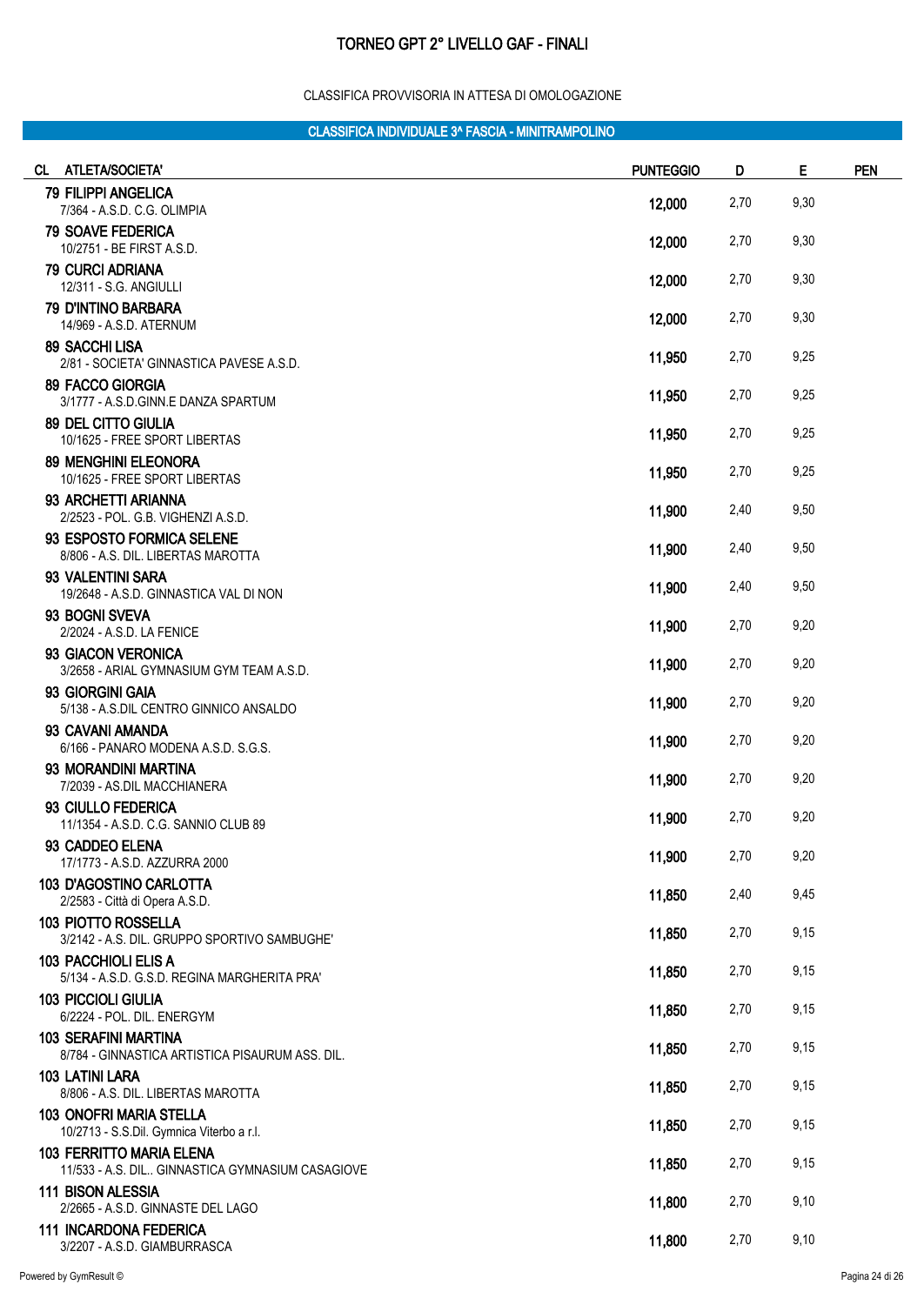#### CLASSIFICA PROVVISORIA IN ATTESA DI OMOLOGAZIONE

| CL ATLETA/SOCIETA'                                                           | <b>PUNTEGGIO</b> | D    | Е    | <b>PEN</b> |
|------------------------------------------------------------------------------|------------------|------|------|------------|
| 79 FILIPPI ANGELICA<br>7/364 - A.S.D. C.G. OLIMPIA                           | 12,000           | 2,70 | 9,30 |            |
| <b>79 SOAVE FEDERICA</b><br>10/2751 - BE FIRST A.S.D.                        | 12,000           | 2,70 | 9,30 |            |
| <b>79 CURCI ADRIANA</b>                                                      | 12,000           | 2,70 | 9,30 |            |
| 12/311 - S.G. ANGIULLI<br><b>79 D'INTINO BARBARA</b>                         |                  |      |      |            |
| 14/969 - A.S.D. ATERNUM<br><b>89 SACCHI LISA</b>                             | 12,000           | 2,70 | 9,30 |            |
| 2/81 - SOCIETA' GINNASTICA PAVESE A.S.D.                                     | 11,950           | 2,70 | 9,25 |            |
| 89 FACCO GIORGIA<br>3/1777 - A.S.D.GINN.E DANZA SPARTUM                      | 11,950           | 2,70 | 9,25 |            |
| <b>89 DEL CITTO GIULIA</b><br>10/1625 - FREE SPORT LIBERTAS                  | 11,950           | 2,70 | 9,25 |            |
| <b>89 MENGHINI ELEONORA</b><br>10/1625 - FREE SPORT LIBERTAS                 | 11,950           | 2,70 | 9,25 |            |
| 93 ARCHETTI ARIANNA                                                          | 11,900           | 2,40 | 9,50 |            |
| 2/2523 - POL. G.B. VIGHENZI A.S.D.<br>93 ESPOSTO FORMICA SELENE              |                  |      |      |            |
| 8/806 - A.S. DIL. LIBERTAS MAROTTA<br>93 VALENTINI SARA                      | 11,900           | 2,40 | 9,50 |            |
| 19/2648 - A.S.D. GINNASTICA VAL DI NON                                       | 11,900           | 2,40 | 9,50 |            |
| 93 BOGNI SVEVA<br>2/2024 - A.S.D. LA FENICE                                  | 11,900           | 2,70 | 9,20 |            |
| 93 GIACON VERONICA<br>3/2658 - ARIAL GYMNASIUM GYM TEAM A.S.D.               | 11,900           | 2,70 | 9,20 |            |
| 93 GIORGINI GAIA<br>5/138 - A.S.DIL CENTRO GINNICO ANSALDO                   | 11,900           | 2,70 | 9,20 |            |
| 93 CAVANI AMANDA                                                             | 11,900           | 2,70 | 9,20 |            |
| 6/166 - PANARO MODENA A.S.D. S.G.S.<br>93 MORANDINI MARTINA                  |                  |      |      |            |
| 7/2039 - AS.DIL MACCHIANERA<br>93 CIULLO FEDERICA                            | 11,900           | 2,70 | 9,20 |            |
| 11/1354 - A.S.D. C.G. SANNIO CLUB 89                                         | 11,900           | 2,70 | 9,20 |            |
| 93 CADDEO ELENA<br>17/1773 - A.S.D. AZZURRA 2000                             | 11,900           | 2,70 | 9,20 |            |
| <b>103 D'AGOSTINO CARLOTTA</b><br>2/2583 - Città di Opera A.S.D.             | 11,850           | 2,40 | 9,45 |            |
| 103 PIOTTO ROSSELLA                                                          | 11,850           | 2,70 | 9,15 |            |
| 3/2142 - A.S. DIL. GRUPPO SPORTIVO SAMBUGHE'<br>103 PACCHIOLI ELIS A         | 11,850           | 2,70 | 9,15 |            |
| 5/134 - A.S.D. G.S.D. REGINA MARGHERITA PRA'<br><b>103 PICCIOLI GIULIA</b>   |                  |      |      |            |
| 6/2224 - POL. DIL. ENERGYM<br><b>103 SERAFINI MARTINA</b>                    | 11,850           | 2,70 | 9,15 |            |
| 8/784 - GINNASTICA ARTISTICA PISAURUM ASS. DIL.                              | 11,850           | 2,70 | 9,15 |            |
| <b>103 LATINI LARA</b><br>8/806 - A.S. DIL. LIBERTAS MAROTTA                 | 11,850           | 2,70 | 9,15 |            |
| <b>103 ONOFRI MARIA STELLA</b><br>10/2713 - S.S.Dil. Gymnica Viterbo a r.l.  | 11,850           | 2,70 | 9,15 |            |
| <b>103 FERRITTO MARIA ELENA</b>                                              | 11,850           | 2,70 | 9,15 |            |
| 11/533 - A.S. DIL GINNASTICA GYMNASIUM CASAGIOVE<br><b>111 BISON ALESSIA</b> | 11,800           | 2,70 | 9,10 |            |
| 2/2665 - A.S.D. GINNASTE DEL LAGO<br><b>111 INCARDONA FEDERICA</b>           |                  |      |      |            |
| 3/2207 - A.S.D. GIAMBURRASCA                                                 | 11,800           | 2,70 | 9,10 |            |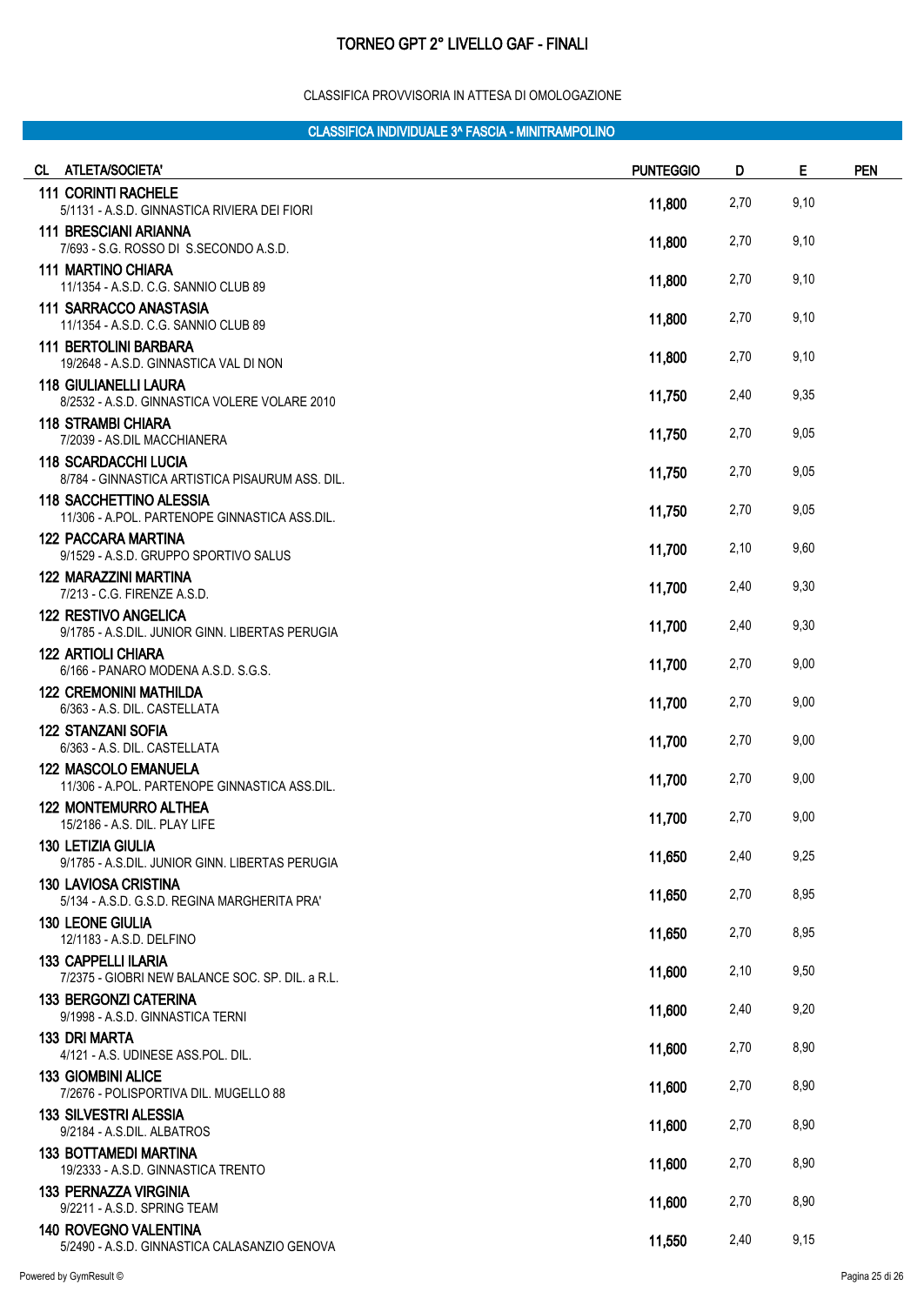#### CLASSIFICA PROVVISORIA IN ATTESA DI OMOLOGAZIONE

| CL ATLETA/SOCIETA'                                                              | <b>PUNTEGGIO</b> | D    | Е    | <b>PEN</b> |
|---------------------------------------------------------------------------------|------------------|------|------|------------|
| <b>111 CORINTI RACHELE</b><br>5/1131 - A.S.D. GINNASTICA RIVIERA DEI FIORI      | 11,800           | 2,70 | 9,10 |            |
| <b>111 BRESCIANI ARIANNA</b><br>7/693 - S.G. ROSSO DI S.SECONDO A.S.D.          | 11,800           | 2,70 | 9,10 |            |
| <b>111 MARTINO CHIARA</b><br>11/1354 - A.S.D. C.G. SANNIO CLUB 89               | 11,800           | 2,70 | 9,10 |            |
| <b>111 SARRACCO ANASTASIA</b><br>11/1354 - A.S.D. C.G. SANNIO CLUB 89           | 11,800           | 2,70 | 9,10 |            |
| <b>111 BERTOLINI BARBARA</b><br>19/2648 - A.S.D. GINNASTICA VAL DI NON          | 11,800           | 2,70 | 9,10 |            |
| <b>118 GIULIANELLI LAURA</b><br>8/2532 - A.S.D. GINNASTICA VOLERE VOLARE 2010   | 11,750           | 2,40 | 9,35 |            |
| <b>118 STRAMBI CHIARA</b><br>7/2039 - AS.DIL MACCHIANERA                        | 11,750           | 2,70 | 9,05 |            |
| <b>118 SCARDACCHI LUCIA</b><br>8/784 - GINNASTICA ARTISTICA PISAURUM ASS. DIL.  | 11,750           | 2,70 | 9,05 |            |
| <b>118 SACCHETTINO ALESSIA</b><br>11/306 - A.POL. PARTENOPE GINNASTICA ASS.DIL. | 11,750           | 2,70 | 9,05 |            |
| <b>122 PACCARA MARTINA</b><br>9/1529 - A.S.D. GRUPPO SPORTIVO SALUS             | 11,700           | 2,10 | 9,60 |            |
| 122 MARAZZINI MARTINA<br>7/213 - C.G. FIRENZE A.S.D.                            | 11,700           | 2,40 | 9,30 |            |
| <b>122 RESTIVO ANGELICA</b><br>9/1785 - A.S.DIL. JUNIOR GINN. LIBERTAS PERUGIA  | 11,700           | 2,40 | 9,30 |            |
| <b>122 ARTIOLI CHIARA</b><br>6/166 - PANARO MODENA A.S.D. S.G.S.                | 11,700           | 2,70 | 9,00 |            |
| <b>122 CREMONINI MATHILDA</b><br>6/363 - A.S. DIL. CASTELLATA                   | 11,700           | 2,70 | 9,00 |            |
| <b>122 STANZANI SOFIA</b><br>6/363 - A.S. DIL. CASTELLATA                       | 11,700           | 2,70 | 9,00 |            |
| <b>122 MASCOLO EMANUELA</b><br>11/306 - A.POL. PARTENOPE GINNASTICA ASS.DIL.    | 11,700           | 2,70 | 9,00 |            |
| <b>122 MONTEMURRO ALTHEA</b><br>15/2186 - A.S. DIL. PLAY LIFE                   | 11,700           | 2,70 | 9,00 |            |
| <b>130 LETIZIA GIULIA</b><br>9/1785 - A.S.DIL. JUNIOR GINN. LIBERTAS PERUGIA    | 11,650           | 2,40 | 9,25 |            |
| <b>130 LAVIOSA CRISTINA</b><br>5/134 - A.S.D. G.S.D. REGINA MARGHERITA PRA'     | 11,650           | 2,70 | 8,95 |            |
| <b>130 LEONE GIULIA</b><br>12/1183 - A.S.D. DELFINO                             | 11,650           | 2,70 | 8,95 |            |
| <b>133 CAPPELLI ILARIA</b><br>7/2375 - GIOBRI NEW BALANCE SOC. SP. DIL. a R.L.  | 11,600           | 2,10 | 9,50 |            |
| <b>133 BERGONZI CATERINA</b><br>9/1998 - A.S.D. GINNASTICA TERNI                | 11,600           | 2,40 | 9,20 |            |
| <b>133 DRI MARTA</b><br>4/121 - A.S. UDINESE ASS.POL. DIL.                      | 11,600           | 2,70 | 8,90 |            |
| <b>133 GIOMBINI ALICE</b><br>7/2676 - POLISPORTIVA DIL. MUGELLO 88              | 11,600           | 2,70 | 8,90 |            |
| <b>133 SILVESTRI ALESSIA</b><br>9/2184 - A.S.DIL. ALBATROS                      | 11,600           | 2,70 | 8,90 |            |
| <b>133 BOTTAMEDI MARTINA</b><br>19/2333 - A.S.D. GINNASTICA TRENTO              | 11,600           | 2,70 | 8,90 |            |
| <b>133 PERNAZZA VIRGINIA</b><br>9/2211 - A.S.D. SPRING TEAM                     | 11,600           | 2,70 | 8,90 |            |
| <b>140 ROVEGNO VALENTINA</b><br>5/2490 - A.S.D. GINNASTICA CALASANZIO GENOVA    | 11,550           | 2,40 | 9,15 |            |